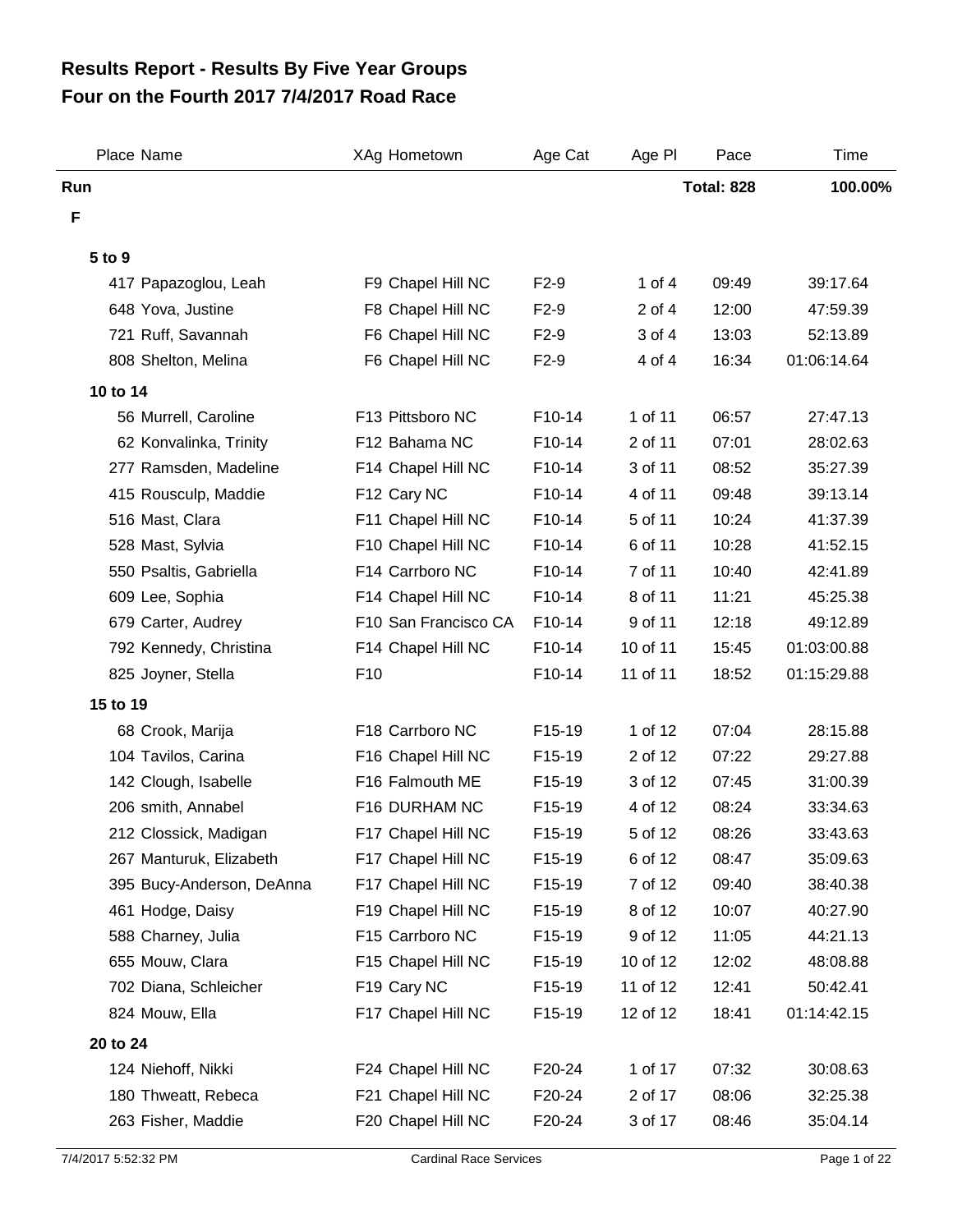## **Four on the Fourth 2017 7/4/2017 Road Race Results Report - Results By Five Year Groups**

| Place Name                | XAg Hometown         | Age Cat | Age PI     | Pace              | Time        |
|---------------------------|----------------------|---------|------------|-------------------|-------------|
| Run                       |                      |         |            | <b>Total: 828</b> | 100.00%     |
| F                         |                      |         |            |                   |             |
| 5 to 9                    |                      |         |            |                   |             |
| 417 Papazoglou, Leah      | F9 Chapel Hill NC    | $F2-9$  | 1 of $4$   | 09:49             | 39:17.64    |
| 648 Yova, Justine         | F8 Chapel Hill NC    | $F2-9$  | $2$ of $4$ | 12:00             | 47:59.39    |
| 721 Ruff, Savannah        | F6 Chapel Hill NC    | $F2-9$  | 3 of 4     | 13:03             | 52:13.89    |
| 808 Shelton, Melina       | F6 Chapel Hill NC    | $F2-9$  | 4 of 4     | 16:34             | 01:06:14.64 |
| 10 to 14                  |                      |         |            |                   |             |
| 56 Murrell, Caroline      | F13 Pittsboro NC     | F10-14  | 1 of 11    | 06:57             | 27:47.13    |
| 62 Konvalinka, Trinity    | F12 Bahama NC        | F10-14  | 2 of 11    | 07:01             | 28:02.63    |
| 277 Ramsden, Madeline     | F14 Chapel Hill NC   | F10-14  | 3 of 11    | 08:52             | 35:27.39    |
| 415 Rousculp, Maddie      | F12 Cary NC          | F10-14  | 4 of 11    | 09:48             | 39:13.14    |
| 516 Mast, Clara           | F11 Chapel Hill NC   | F10-14  | 5 of 11    | 10:24             | 41:37.39    |
| 528 Mast, Sylvia          | F10 Chapel Hill NC   | F10-14  | 6 of 11    | 10:28             | 41:52.15    |
| 550 Psaltis, Gabriella    | F14 Carrboro NC      | F10-14  | 7 of 11    | 10:40             | 42:41.89    |
| 609 Lee, Sophia           | F14 Chapel Hill NC   | F10-14  | 8 of 11    | 11:21             | 45:25.38    |
| 679 Carter, Audrey        | F10 San Francisco CA | F10-14  | 9 of 11    | 12:18             | 49:12.89    |
| 792 Kennedy, Christina    | F14 Chapel Hill NC   | F10-14  | 10 of 11   | 15:45             | 01:03:00.88 |
| 825 Joyner, Stella        | F <sub>10</sub>      | F10-14  | 11 of 11   | 18:52             | 01:15:29.88 |
| 15 to 19                  |                      |         |            |                   |             |
| 68 Crook, Marija          | F18 Carrboro NC      | F15-19  | 1 of 12    | 07:04             | 28:15.88    |
| 104 Tavilos, Carina       | F16 Chapel Hill NC   | F15-19  | 2 of 12    | 07:22             | 29:27.88    |
| 142 Clough, Isabelle      | F16 Falmouth ME      | F15-19  | 3 of 12    | 07:45             | 31:00.39    |
| 206 smith, Annabel        | F16 DURHAM NC        | F15-19  | 4 of 12    | 08:24             | 33:34.63    |
| 212 Clossick, Madigan     | F17 Chapel Hill NC   | F15-19  | 5 of 12    | 08:26             | 33:43.63    |
| 267 Manturuk, Elizabeth   | F17 Chapel Hill NC   | F15-19  | 6 of 12    | 08:47             | 35:09.63    |
| 395 Bucy-Anderson, DeAnna | F17 Chapel Hill NC   | F15-19  | 7 of 12    | 09:40             | 38:40.38    |
| 461 Hodge, Daisy          | F19 Chapel Hill NC   | F15-19  | 8 of 12    | 10:07             | 40:27.90    |
| 588 Charney, Julia        | F15 Carrboro NC      | F15-19  | 9 of 12    | 11:05             | 44:21.13    |
| 655 Mouw, Clara           | F15 Chapel Hill NC   | F15-19  | 10 of 12   | 12:02             | 48:08.88    |
| 702 Diana, Schleicher     | F19 Cary NC          | F15-19  | 11 of 12   | 12:41             | 50:42.41    |
| 824 Mouw, Ella            | F17 Chapel Hill NC   | F15-19  | 12 of 12   | 18:41             | 01:14:42.15 |
| 20 to 24                  |                      |         |            |                   |             |
| 124 Niehoff, Nikki        | F24 Chapel Hill NC   | F20-24  | 1 of 17    | 07:32             | 30:08.63    |
| 180 Thweatt, Rebeca       | F21 Chapel Hill NC   | F20-24  | 2 of 17    | 08:06             | 32:25.38    |
| 263 Fisher, Maddie        | F20 Chapel Hill NC   | F20-24  | 3 of 17    | 08:46             | 35:04.14    |
|                           |                      |         |            |                   |             |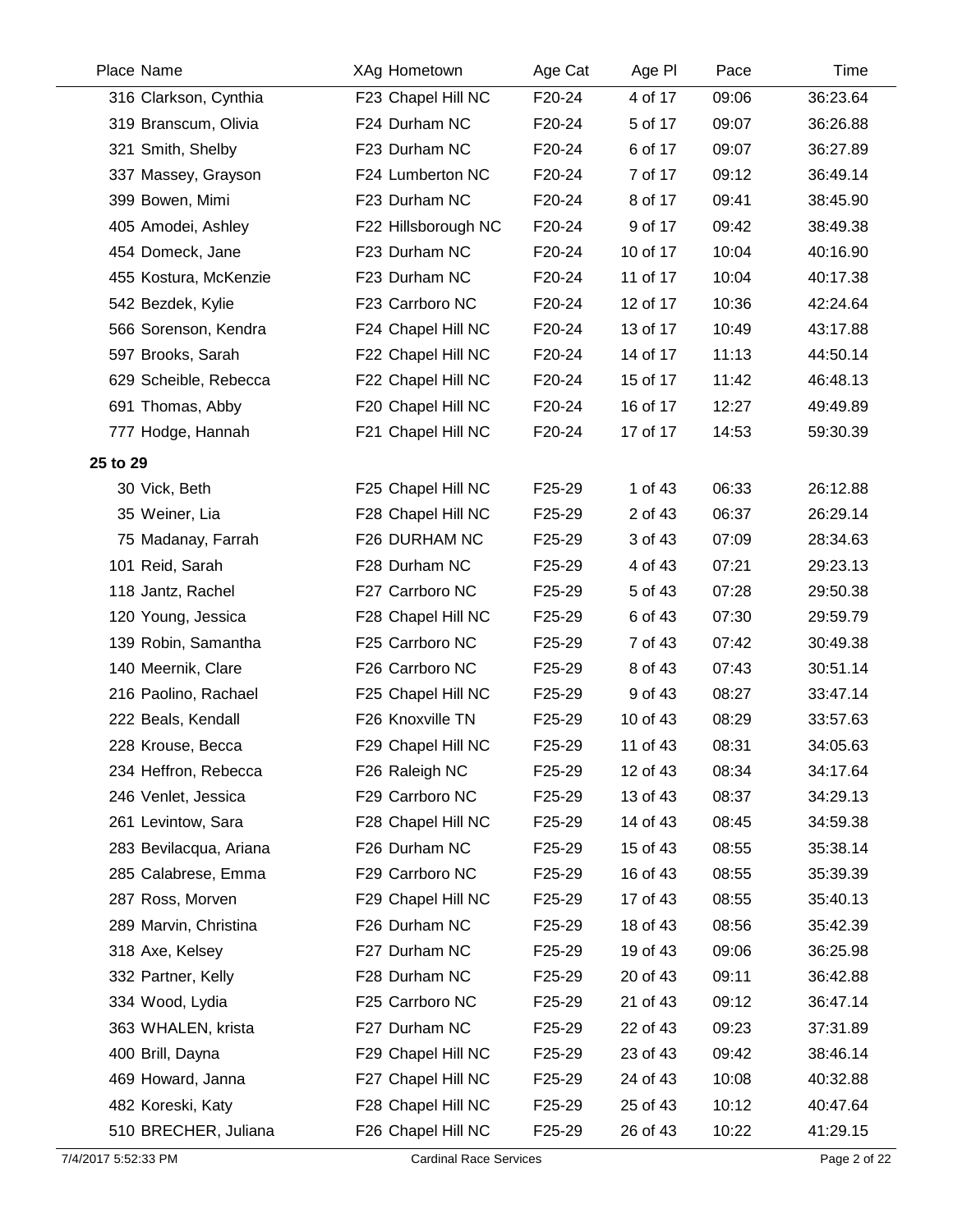| Place Name             | XAg Hometown        | Age Cat | Age PI   | Pace  | Time     |
|------------------------|---------------------|---------|----------|-------|----------|
| 316 Clarkson, Cynthia  | F23 Chapel Hill NC  | F20-24  | 4 of 17  | 09:06 | 36:23.64 |
| 319 Branscum, Olivia   | F24 Durham NC       | F20-24  | 5 of 17  | 09:07 | 36:26.88 |
| 321 Smith, Shelby      | F23 Durham NC       | F20-24  | 6 of 17  | 09:07 | 36:27.89 |
| 337 Massey, Grayson    | F24 Lumberton NC    | F20-24  | 7 of 17  | 09:12 | 36:49.14 |
| 399 Bowen, Mimi        | F23 Durham NC       | F20-24  | 8 of 17  | 09:41 | 38:45.90 |
| 405 Amodei, Ashley     | F22 Hillsborough NC | F20-24  | 9 of 17  | 09:42 | 38:49.38 |
| 454 Domeck, Jane       | F23 Durham NC       | F20-24  | 10 of 17 | 10:04 | 40:16.90 |
| 455 Kostura, McKenzie  | F23 Durham NC       | F20-24  | 11 of 17 | 10:04 | 40:17.38 |
| 542 Bezdek, Kylie      | F23 Carrboro NC     | F20-24  | 12 of 17 | 10:36 | 42:24.64 |
| 566 Sorenson, Kendra   | F24 Chapel Hill NC  | F20-24  | 13 of 17 | 10:49 | 43:17.88 |
| 597 Brooks, Sarah      | F22 Chapel Hill NC  | F20-24  | 14 of 17 | 11:13 | 44:50.14 |
| 629 Scheible, Rebecca  | F22 Chapel Hill NC  | F20-24  | 15 of 17 | 11:42 | 46:48.13 |
| 691 Thomas, Abby       | F20 Chapel Hill NC  | F20-24  | 16 of 17 | 12:27 | 49:49.89 |
| 777 Hodge, Hannah      | F21 Chapel Hill NC  | F20-24  | 17 of 17 | 14:53 | 59:30.39 |
| 25 to 29               |                     |         |          |       |          |
| 30 Vick, Beth          | F25 Chapel Hill NC  | F25-29  | 1 of 43  | 06:33 | 26:12.88 |
| 35 Weiner, Lia         | F28 Chapel Hill NC  | F25-29  | 2 of 43  | 06:37 | 26:29.14 |
| 75 Madanay, Farrah     | F26 DURHAM NC       | F25-29  | 3 of 43  | 07:09 | 28:34.63 |
| 101 Reid, Sarah        | F28 Durham NC       | F25-29  | 4 of 43  | 07:21 | 29:23.13 |
| 118 Jantz, Rachel      | F27 Carrboro NC     | F25-29  | 5 of 43  | 07:28 | 29:50.38 |
| 120 Young, Jessica     | F28 Chapel Hill NC  | F25-29  | 6 of 43  | 07:30 | 29:59.79 |
| 139 Robin, Samantha    | F25 Carrboro NC     | F25-29  | 7 of 43  | 07:42 | 30:49.38 |
| 140 Meernik, Clare     | F26 Carrboro NC     | F25-29  | 8 of 43  | 07:43 | 30:51.14 |
| 216 Paolino, Rachael   | F25 Chapel Hill NC  | F25-29  | 9 of 43  | 08:27 | 33:47.14 |
| 222 Beals, Kendall     | F26 Knoxville TN    | F25-29  | 10 of 43 | 08:29 | 33:57.63 |
| 228 Krouse, Becca      | F29 Chapel Hill NC  | F25-29  | 11 of 43 | 08:31 | 34:05.63 |
| 234 Heffron, Rebecca   | F26 Raleigh NC      | F25-29  | 12 of 43 | 08:34 | 34:17.64 |
| 246 Venlet, Jessica    | F29 Carrboro NC     | F25-29  | 13 of 43 | 08:37 | 34:29.13 |
| 261 Levintow, Sara     | F28 Chapel Hill NC  | F25-29  | 14 of 43 | 08:45 | 34:59.38 |
| 283 Bevilacqua, Ariana | F26 Durham NC       | F25-29  | 15 of 43 | 08:55 | 35:38.14 |
| 285 Calabrese, Emma    | F29 Carrboro NC     | F25-29  | 16 of 43 | 08:55 | 35:39.39 |
| 287 Ross, Morven       | F29 Chapel Hill NC  | F25-29  | 17 of 43 | 08:55 | 35:40.13 |
| 289 Marvin, Christina  | F26 Durham NC       | F25-29  | 18 of 43 | 08:56 | 35:42.39 |
| 318 Axe, Kelsey        | F27 Durham NC       | F25-29  | 19 of 43 | 09:06 | 36:25.98 |
| 332 Partner, Kelly     | F28 Durham NC       | F25-29  | 20 of 43 | 09:11 | 36:42.88 |
| 334 Wood, Lydia        | F25 Carrboro NC     | F25-29  | 21 of 43 | 09:12 | 36:47.14 |
| 363 WHALEN, krista     | F27 Durham NC       | F25-29  | 22 of 43 | 09:23 | 37:31.89 |
| 400 Brill, Dayna       | F29 Chapel Hill NC  | F25-29  | 23 of 43 | 09:42 | 38:46.14 |
| 469 Howard, Janna      | F27 Chapel Hill NC  | F25-29  | 24 of 43 | 10:08 | 40:32.88 |
| 482 Koreski, Katy      | F28 Chapel Hill NC  | F25-29  | 25 of 43 | 10:12 | 40:47.64 |
| 510 BRECHER, Juliana   | F26 Chapel Hill NC  | F25-29  | 26 of 43 | 10:22 | 41:29.15 |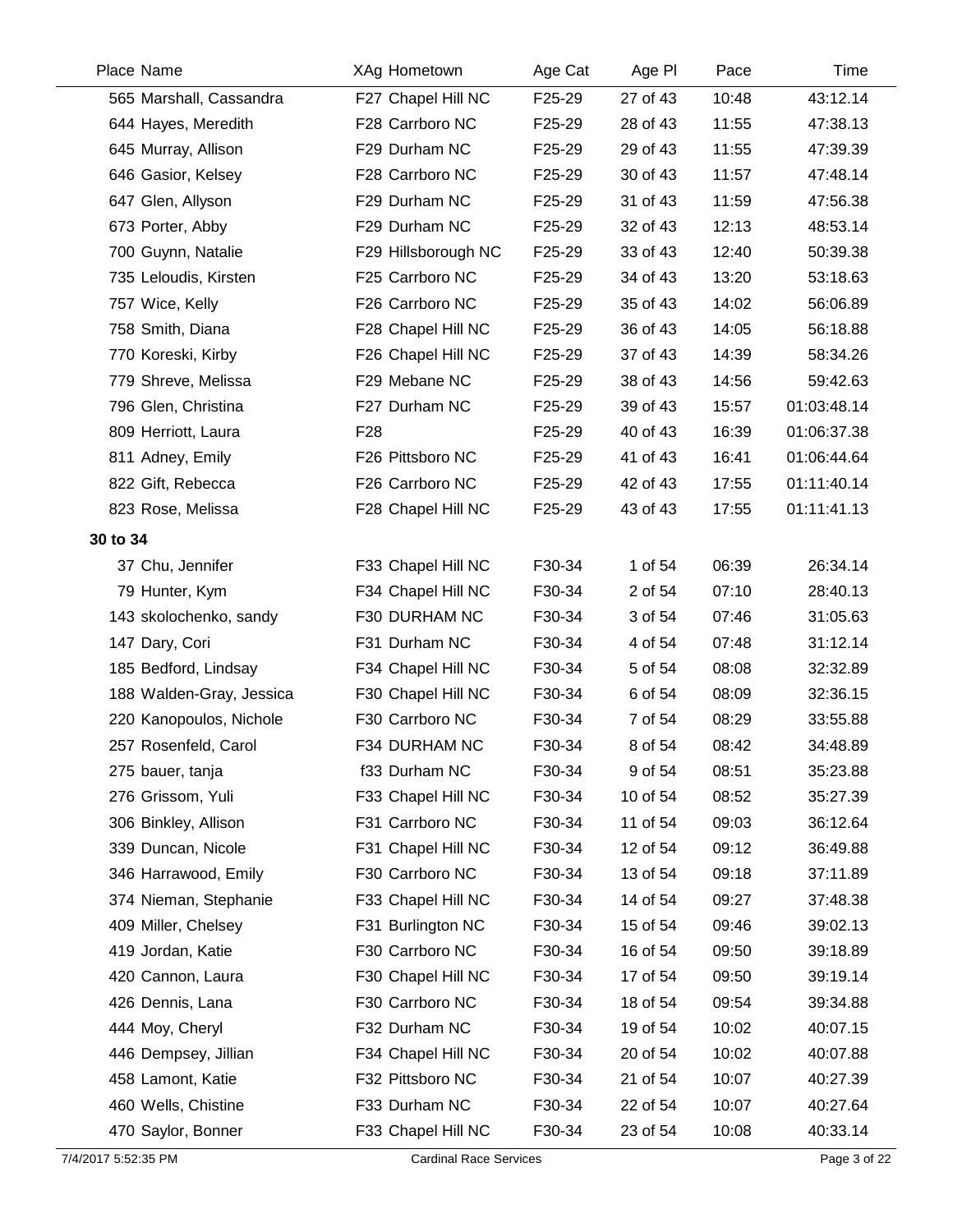| Place Name               | XAg Hometown        | Age Cat | Age PI   | Pace  | Time        |
|--------------------------|---------------------|---------|----------|-------|-------------|
| 565 Marshall, Cassandra  | F27 Chapel Hill NC  | F25-29  | 27 of 43 | 10:48 | 43:12.14    |
| 644 Hayes, Meredith      | F28 Carrboro NC     | F25-29  | 28 of 43 | 11:55 | 47:38.13    |
| 645 Murray, Allison      | F29 Durham NC       | F25-29  | 29 of 43 | 11:55 | 47:39.39    |
| 646 Gasior, Kelsey       | F28 Carrboro NC     | F25-29  | 30 of 43 | 11:57 | 47:48.14    |
| 647 Glen, Allyson        | F29 Durham NC       | F25-29  | 31 of 43 | 11:59 | 47:56.38    |
| 673 Porter, Abby         | F29 Durham NC       | F25-29  | 32 of 43 | 12:13 | 48:53.14    |
| 700 Guynn, Natalie       | F29 Hillsborough NC | F25-29  | 33 of 43 | 12:40 | 50:39.38    |
| 735 Leloudis, Kirsten    | F25 Carrboro NC     | F25-29  | 34 of 43 | 13:20 | 53:18.63    |
| 757 Wice, Kelly          | F26 Carrboro NC     | F25-29  | 35 of 43 | 14:02 | 56:06.89    |
| 758 Smith, Diana         | F28 Chapel Hill NC  | F25-29  | 36 of 43 | 14:05 | 56:18.88    |
| 770 Koreski, Kirby       | F26 Chapel Hill NC  | F25-29  | 37 of 43 | 14:39 | 58:34.26    |
| 779 Shreve, Melissa      | F29 Mebane NC       | F25-29  | 38 of 43 | 14:56 | 59:42.63    |
| 796 Glen, Christina      | F27 Durham NC       | F25-29  | 39 of 43 | 15:57 | 01:03:48.14 |
| 809 Herriott, Laura      | F28                 | F25-29  | 40 of 43 | 16:39 | 01:06:37.38 |
| 811 Adney, Emily         | F26 Pittsboro NC    | F25-29  | 41 of 43 | 16:41 | 01:06:44.64 |
| 822 Gift, Rebecca        | F26 Carrboro NC     | F25-29  | 42 of 43 | 17:55 | 01:11:40.14 |
| 823 Rose, Melissa        | F28 Chapel Hill NC  | F25-29  | 43 of 43 | 17:55 | 01:11:41.13 |
| 30 to 34                 |                     |         |          |       |             |
| 37 Chu, Jennifer         | F33 Chapel Hill NC  | F30-34  | 1 of 54  | 06:39 | 26:34.14    |
| 79 Hunter, Kym           | F34 Chapel Hill NC  | F30-34  | 2 of 54  | 07:10 | 28:40.13    |
| 143 skolochenko, sandy   | F30 DURHAM NC       | F30-34  | 3 of 54  | 07:46 | 31:05.63    |
| 147 Dary, Cori           | F31 Durham NC       | F30-34  | 4 of 54  | 07:48 | 31:12.14    |
| 185 Bedford, Lindsay     | F34 Chapel Hill NC  | F30-34  | 5 of 54  | 08:08 | 32:32.89    |
| 188 Walden-Gray, Jessica | F30 Chapel Hill NC  | F30-34  | 6 of 54  | 08:09 | 32:36.15    |
| 220 Kanopoulos, Nichole  | F30 Carrboro NC     | F30-34  | 7 of 54  | 08:29 | 33:55.88    |
| 257 Rosenfeld, Carol     | F34 DURHAM NC       | F30-34  | 8 of 54  | 08:42 | 34:48.89    |
| 275 bauer, tanja         | f33 Durham NC       | F30-34  | 9 of 54  | 08:51 | 35:23.88    |
| 276 Grissom, Yuli        | F33 Chapel Hill NC  | F30-34  | 10 of 54 | 08:52 | 35:27.39    |
| 306 Binkley, Allison     | F31 Carrboro NC     | F30-34  | 11 of 54 | 09:03 | 36:12.64    |
| 339 Duncan, Nicole       | F31 Chapel Hill NC  | F30-34  | 12 of 54 | 09:12 | 36:49.88    |
| 346 Harrawood, Emily     | F30 Carrboro NC     | F30-34  | 13 of 54 | 09:18 | 37:11.89    |
| 374 Nieman, Stephanie    | F33 Chapel Hill NC  | F30-34  | 14 of 54 | 09:27 | 37:48.38    |
| 409 Miller, Chelsey      | F31 Burlington NC   | F30-34  | 15 of 54 | 09:46 | 39:02.13    |
| 419 Jordan, Katie        | F30 Carrboro NC     | F30-34  | 16 of 54 | 09:50 | 39:18.89    |
| 420 Cannon, Laura        | F30 Chapel Hill NC  | F30-34  | 17 of 54 | 09:50 | 39:19.14    |
| 426 Dennis, Lana         | F30 Carrboro NC     | F30-34  | 18 of 54 | 09:54 | 39:34.88    |
| 444 Moy, Cheryl          | F32 Durham NC       | F30-34  | 19 of 54 | 10:02 | 40:07.15    |
| 446 Dempsey, Jillian     | F34 Chapel Hill NC  | F30-34  | 20 of 54 | 10:02 | 40:07.88    |
| 458 Lamont, Katie        | F32 Pittsboro NC    | F30-34  | 21 of 54 | 10:07 | 40:27.39    |
| 460 Wells, Chistine      | F33 Durham NC       | F30-34  | 22 of 54 | 10:07 | 40:27.64    |
| 470 Saylor, Bonner       | F33 Chapel Hill NC  | F30-34  | 23 of 54 | 10:08 | 40:33.14    |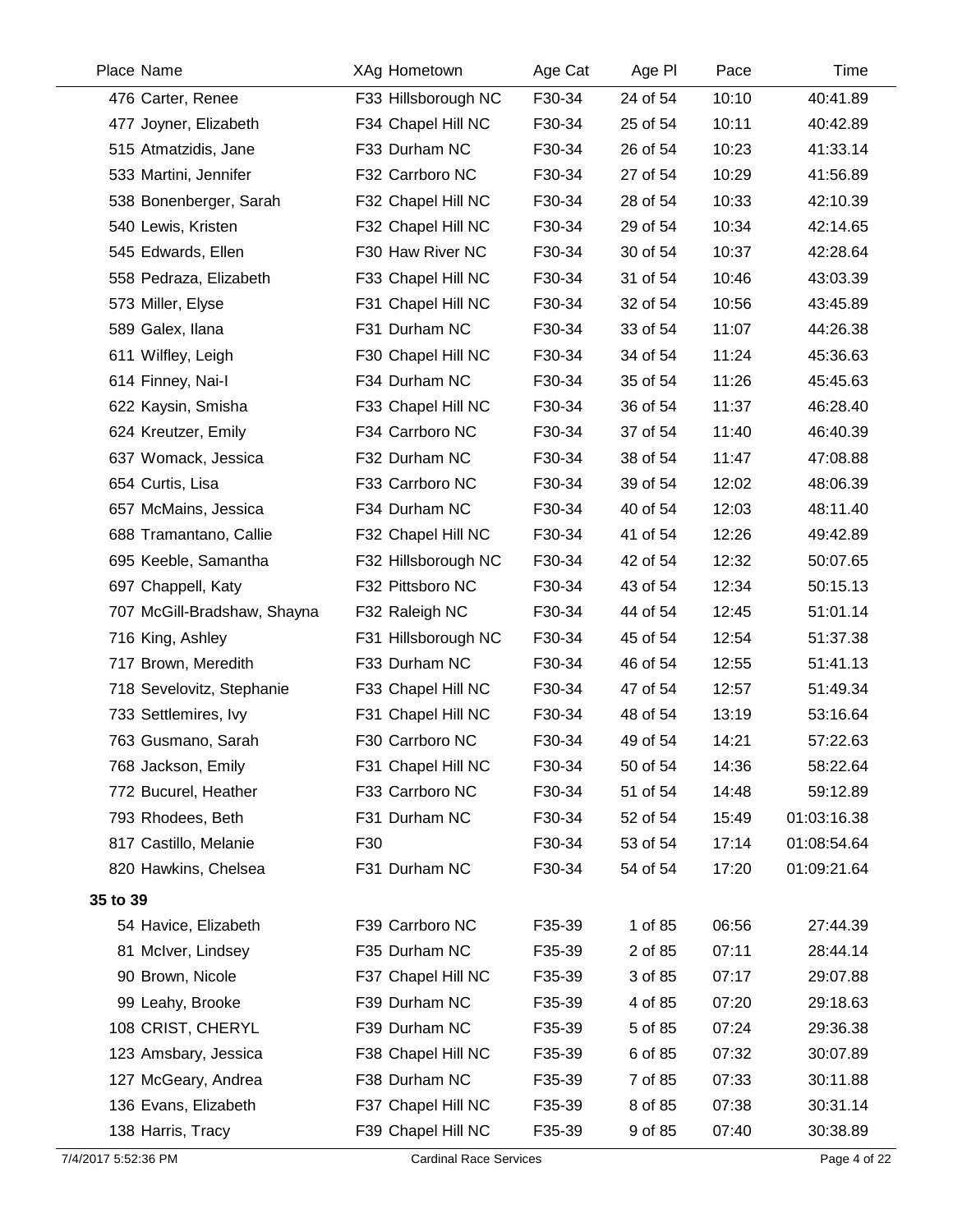| Place Name                  | XAg Hometown        | Age Cat | Age PI   | Pace  | Time        |
|-----------------------------|---------------------|---------|----------|-------|-------------|
| 476 Carter, Renee           | F33 Hillsborough NC | F30-34  | 24 of 54 | 10:10 | 40:41.89    |
| 477 Joyner, Elizabeth       | F34 Chapel Hill NC  | F30-34  | 25 of 54 | 10:11 | 40:42.89    |
| 515 Atmatzidis, Jane        | F33 Durham NC       | F30-34  | 26 of 54 | 10:23 | 41:33.14    |
| 533 Martini, Jennifer       | F32 Carrboro NC     | F30-34  | 27 of 54 | 10:29 | 41:56.89    |
| 538 Bonenberger, Sarah      | F32 Chapel Hill NC  | F30-34  | 28 of 54 | 10:33 | 42:10.39    |
| 540 Lewis, Kristen          | F32 Chapel Hill NC  | F30-34  | 29 of 54 | 10:34 | 42:14.65    |
| 545 Edwards, Ellen          | F30 Haw River NC    | F30-34  | 30 of 54 | 10:37 | 42:28.64    |
| 558 Pedraza, Elizabeth      | F33 Chapel Hill NC  | F30-34  | 31 of 54 | 10:46 | 43:03.39    |
| 573 Miller, Elyse           | F31 Chapel Hill NC  | F30-34  | 32 of 54 | 10:56 | 43:45.89    |
| 589 Galex, Ilana            | F31 Durham NC       | F30-34  | 33 of 54 | 11:07 | 44:26.38    |
| 611 Wilfley, Leigh          | F30 Chapel Hill NC  | F30-34  | 34 of 54 | 11:24 | 45:36.63    |
| 614 Finney, Nai-I           | F34 Durham NC       | F30-34  | 35 of 54 | 11:26 | 45:45.63    |
| 622 Kaysin, Smisha          | F33 Chapel Hill NC  | F30-34  | 36 of 54 | 11:37 | 46:28.40    |
| 624 Kreutzer, Emily         | F34 Carrboro NC     | F30-34  | 37 of 54 | 11:40 | 46:40.39    |
| 637 Womack, Jessica         | F32 Durham NC       | F30-34  | 38 of 54 | 11:47 | 47:08.88    |
| 654 Curtis, Lisa            | F33 Carrboro NC     | F30-34  | 39 of 54 | 12:02 | 48:06.39    |
| 657 McMains, Jessica        | F34 Durham NC       | F30-34  | 40 of 54 | 12:03 | 48:11.40    |
| 688 Tramantano, Callie      | F32 Chapel Hill NC  | F30-34  | 41 of 54 | 12:26 | 49:42.89    |
| 695 Keeble, Samantha        | F32 Hillsborough NC | F30-34  | 42 of 54 | 12:32 | 50:07.65    |
| 697 Chappell, Katy          | F32 Pittsboro NC    | F30-34  | 43 of 54 | 12:34 | 50:15.13    |
| 707 McGill-Bradshaw, Shayna | F32 Raleigh NC      | F30-34  | 44 of 54 | 12:45 | 51:01.14    |
| 716 King, Ashley            | F31 Hillsborough NC | F30-34  | 45 of 54 | 12:54 | 51:37.38    |
| 717 Brown, Meredith         | F33 Durham NC       | F30-34  | 46 of 54 | 12:55 | 51:41.13    |
| 718 Sevelovitz, Stephanie   | F33 Chapel Hill NC  | F30-34  | 47 of 54 | 12:57 | 51:49.34    |
| 733 Settlemires, Ivy        | F31 Chapel Hill NC  | F30-34  | 48 of 54 | 13:19 | 53:16.64    |
| 763 Gusmano, Sarah          | F30 Carrboro NC     | F30-34  | 49 of 54 | 14:21 | 57:22.63    |
| 768 Jackson, Emily          | F31 Chapel Hill NC  | F30-34  | 50 of 54 | 14:36 | 58:22.64    |
| 772 Bucurel, Heather        | F33 Carrboro NC     | F30-34  | 51 of 54 | 14:48 | 59:12.89    |
| 793 Rhodees, Beth           | F31 Durham NC       | F30-34  | 52 of 54 | 15:49 | 01:03:16.38 |
| 817 Castillo, Melanie       | F30                 | F30-34  | 53 of 54 | 17:14 | 01:08:54.64 |
| 820 Hawkins, Chelsea        | F31 Durham NC       | F30-34  | 54 of 54 | 17:20 | 01:09:21.64 |
| 35 to 39                    |                     |         |          |       |             |
| 54 Havice, Elizabeth        | F39 Carrboro NC     | F35-39  | 1 of 85  | 06:56 | 27:44.39    |
| 81 McIver, Lindsey          | F35 Durham NC       | F35-39  | 2 of 85  | 07:11 | 28:44.14    |
| 90 Brown, Nicole            | F37 Chapel Hill NC  | F35-39  | 3 of 85  | 07:17 | 29:07.88    |
| 99 Leahy, Brooke            | F39 Durham NC       | F35-39  | 4 of 85  | 07:20 | 29:18.63    |
| 108 CRIST, CHERYL           | F39 Durham NC       | F35-39  | 5 of 85  | 07:24 | 29:36.38    |
| 123 Amsbary, Jessica        | F38 Chapel Hill NC  | F35-39  | 6 of 85  | 07:32 | 30:07.89    |
| 127 McGeary, Andrea         | F38 Durham NC       | F35-39  | 7 of 85  | 07:33 | 30:11.88    |
| 136 Evans, Elizabeth        | F37 Chapel Hill NC  | F35-39  | 8 of 85  | 07:38 | 30:31.14    |
| 138 Harris, Tracy           | F39 Chapel Hill NC  | F35-39  | 9 of 85  | 07:40 | 30:38.89    |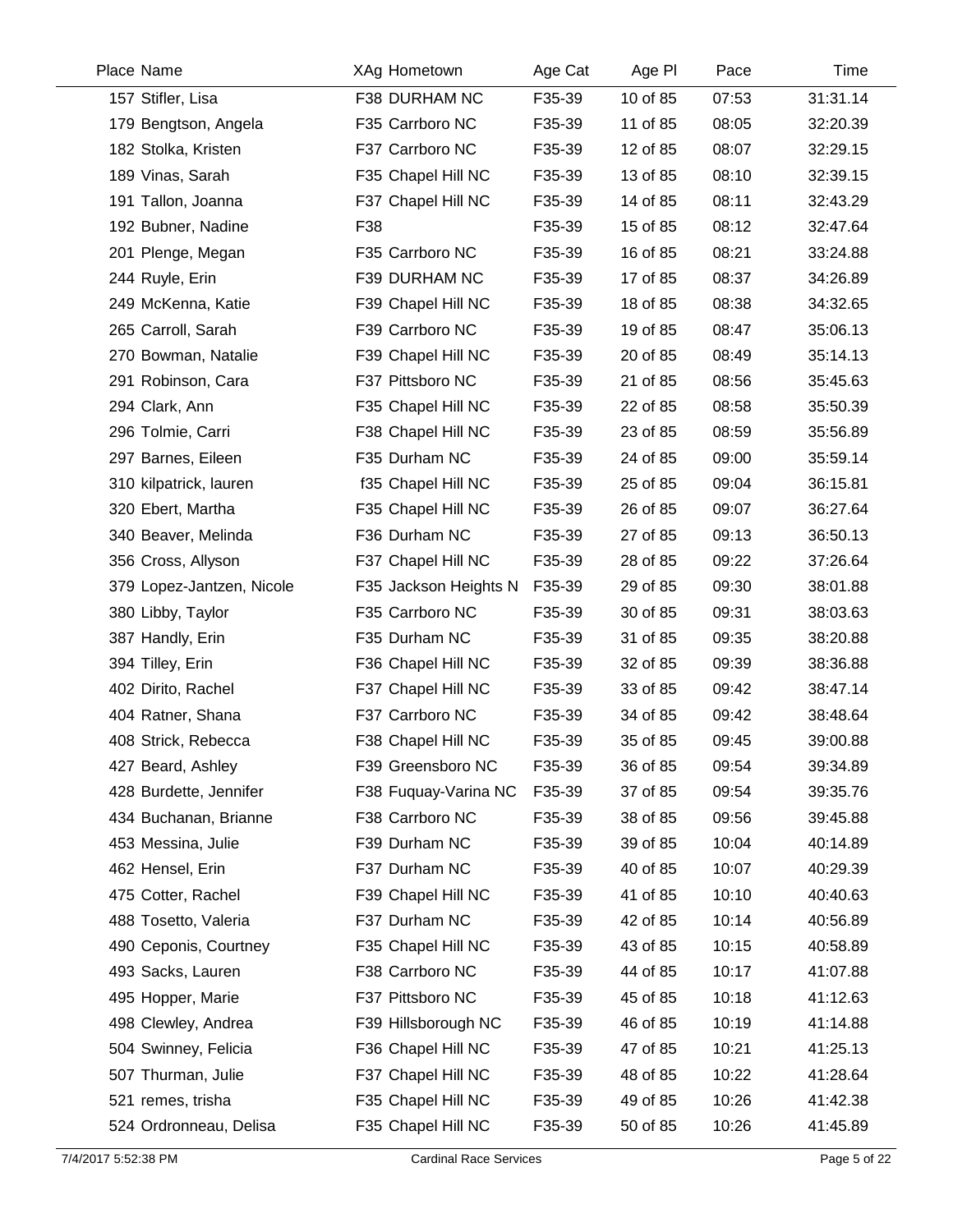| Place Name                | XAg Hometown          | Age Cat | Age PI   | Pace  | Time     |
|---------------------------|-----------------------|---------|----------|-------|----------|
| 157 Stifler, Lisa         | F38 DURHAM NC         | F35-39  | 10 of 85 | 07:53 | 31:31.14 |
| 179 Bengtson, Angela      | F35 Carrboro NC       | F35-39  | 11 of 85 | 08:05 | 32:20.39 |
| 182 Stolka, Kristen       | F37 Carrboro NC       | F35-39  | 12 of 85 | 08:07 | 32:29.15 |
| 189 Vinas, Sarah          | F35 Chapel Hill NC    | F35-39  | 13 of 85 | 08:10 | 32:39.15 |
| 191 Tallon, Joanna        | F37 Chapel Hill NC    | F35-39  | 14 of 85 | 08:11 | 32:43.29 |
| 192 Bubner, Nadine        | F38                   | F35-39  | 15 of 85 | 08:12 | 32:47.64 |
| 201 Plenge, Megan         | F35 Carrboro NC       | F35-39  | 16 of 85 | 08:21 | 33:24.88 |
| 244 Ruyle, Erin           | F39 DURHAM NC         | F35-39  | 17 of 85 | 08:37 | 34:26.89 |
| 249 McKenna, Katie        | F39 Chapel Hill NC    | F35-39  | 18 of 85 | 08:38 | 34:32.65 |
| 265 Carroll, Sarah        | F39 Carrboro NC       | F35-39  | 19 of 85 | 08:47 | 35:06.13 |
| 270 Bowman, Natalie       | F39 Chapel Hill NC    | F35-39  | 20 of 85 | 08:49 | 35:14.13 |
| 291 Robinson, Cara        | F37 Pittsboro NC      | F35-39  | 21 of 85 | 08:56 | 35:45.63 |
| 294 Clark, Ann            | F35 Chapel Hill NC    | F35-39  | 22 of 85 | 08:58 | 35:50.39 |
| 296 Tolmie, Carri         | F38 Chapel Hill NC    | F35-39  | 23 of 85 | 08:59 | 35:56.89 |
| 297 Barnes, Eileen        | F35 Durham NC         | F35-39  | 24 of 85 | 09:00 | 35:59.14 |
| 310 kilpatrick, lauren    | f35 Chapel Hill NC    | F35-39  | 25 of 85 | 09:04 | 36:15.81 |
| 320 Ebert, Martha         | F35 Chapel Hill NC    | F35-39  | 26 of 85 | 09:07 | 36:27.64 |
| 340 Beaver, Melinda       | F36 Durham NC         | F35-39  | 27 of 85 | 09:13 | 36:50.13 |
| 356 Cross, Allyson        | F37 Chapel Hill NC    | F35-39  | 28 of 85 | 09:22 | 37:26.64 |
| 379 Lopez-Jantzen, Nicole | F35 Jackson Heights N | F35-39  | 29 of 85 | 09:30 | 38:01.88 |
| 380 Libby, Taylor         | F35 Carrboro NC       | F35-39  | 30 of 85 | 09:31 | 38:03.63 |
| 387 Handly, Erin          | F35 Durham NC         | F35-39  | 31 of 85 | 09:35 | 38:20.88 |
| 394 Tilley, Erin          | F36 Chapel Hill NC    | F35-39  | 32 of 85 | 09:39 | 38:36.88 |
| 402 Dirito, Rachel        | F37 Chapel Hill NC    | F35-39  | 33 of 85 | 09:42 | 38:47.14 |
| 404 Ratner, Shana         | F37 Carrboro NC       | F35-39  | 34 of 85 | 09:42 | 38:48.64 |
| 408 Strick, Rebecca       | F38 Chapel Hill NC    | F35-39  | 35 of 85 | 09:45 | 39:00.88 |
| 427 Beard, Ashley         | F39 Greensboro NC     | F35-39  | 36 of 85 | 09:54 | 39:34.89 |
| 428 Burdette, Jennifer    | F38 Fuquay-Varina NC  | F35-39  | 37 of 85 | 09:54 | 39:35.76 |
| 434 Buchanan, Brianne     | F38 Carrboro NC       | F35-39  | 38 of 85 | 09:56 | 39:45.88 |
| 453 Messina, Julie        | F39 Durham NC         | F35-39  | 39 of 85 | 10:04 | 40:14.89 |
| 462 Hensel, Erin          | F37 Durham NC         | F35-39  | 40 of 85 | 10:07 | 40:29.39 |
| 475 Cotter, Rachel        | F39 Chapel Hill NC    | F35-39  | 41 of 85 | 10:10 | 40:40.63 |
| 488 Tosetto, Valeria      | F37 Durham NC         | F35-39  | 42 of 85 | 10:14 | 40:56.89 |
| 490 Ceponis, Courtney     | F35 Chapel Hill NC    | F35-39  | 43 of 85 | 10:15 | 40:58.89 |
| 493 Sacks, Lauren         | F38 Carrboro NC       | F35-39  | 44 of 85 | 10:17 | 41:07.88 |
| 495 Hopper, Marie         | F37 Pittsboro NC      | F35-39  | 45 of 85 | 10:18 | 41:12.63 |
| 498 Clewley, Andrea       | F39 Hillsborough NC   | F35-39  | 46 of 85 | 10:19 | 41:14.88 |
| 504 Swinney, Felicia      | F36 Chapel Hill NC    | F35-39  | 47 of 85 | 10:21 | 41:25.13 |
| 507 Thurman, Julie        | F37 Chapel Hill NC    | F35-39  | 48 of 85 | 10:22 | 41:28.64 |
| 521 remes, trisha         | F35 Chapel Hill NC    | F35-39  | 49 of 85 | 10:26 | 41:42.38 |
| 524 Ordronneau, Delisa    | F35 Chapel Hill NC    | F35-39  | 50 of 85 | 10:26 | 41:45.89 |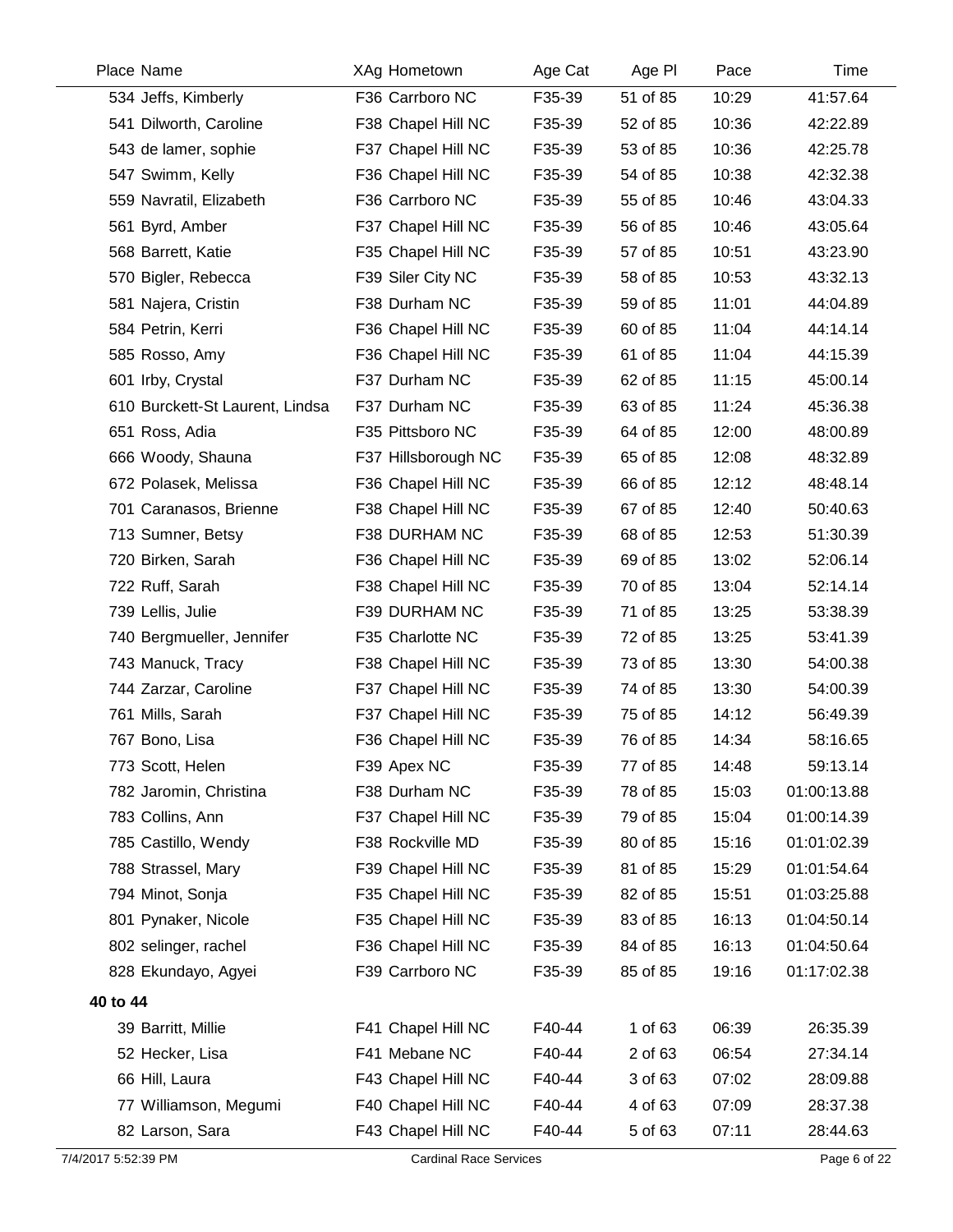| Place Name          |                                 | XAg Hometown                  | Age Cat | Age PI   | Pace  | Time         |
|---------------------|---------------------------------|-------------------------------|---------|----------|-------|--------------|
|                     | 534 Jeffs, Kimberly             | F36 Carrboro NC               | F35-39  | 51 of 85 | 10:29 | 41:57.64     |
|                     | 541 Dilworth, Caroline          | F38 Chapel Hill NC            | F35-39  | 52 of 85 | 10:36 | 42:22.89     |
|                     | 543 de lamer, sophie            | F37 Chapel Hill NC            | F35-39  | 53 of 85 | 10:36 | 42:25.78     |
|                     | 547 Swimm, Kelly                | F36 Chapel Hill NC            | F35-39  | 54 of 85 | 10:38 | 42:32.38     |
|                     | 559 Navratil, Elizabeth         | F36 Carrboro NC               | F35-39  | 55 of 85 | 10:46 | 43:04.33     |
|                     | 561 Byrd, Amber                 | F37 Chapel Hill NC            | F35-39  | 56 of 85 | 10:46 | 43:05.64     |
|                     | 568 Barrett, Katie              | F35 Chapel Hill NC            | F35-39  | 57 of 85 | 10:51 | 43:23.90     |
|                     | 570 Bigler, Rebecca             | F39 Siler City NC             | F35-39  | 58 of 85 | 10:53 | 43:32.13     |
|                     | 581 Najera, Cristin             | F38 Durham NC                 | F35-39  | 59 of 85 | 11:01 | 44:04.89     |
|                     | 584 Petrin, Kerri               | F36 Chapel Hill NC            | F35-39  | 60 of 85 | 11:04 | 44:14.14     |
|                     | 585 Rosso, Amy                  | F36 Chapel Hill NC            | F35-39  | 61 of 85 | 11:04 | 44:15.39     |
|                     | 601 Irby, Crystal               | F37 Durham NC                 | F35-39  | 62 of 85 | 11:15 | 45:00.14     |
|                     | 610 Burckett-St Laurent, Lindsa | F37 Durham NC                 | F35-39  | 63 of 85 | 11:24 | 45:36.38     |
|                     | 651 Ross, Adia                  | F35 Pittsboro NC              | F35-39  | 64 of 85 | 12:00 | 48:00.89     |
|                     | 666 Woody, Shauna               | F37 Hillsborough NC           | F35-39  | 65 of 85 | 12:08 | 48:32.89     |
|                     | 672 Polasek, Melissa            | F36 Chapel Hill NC            | F35-39  | 66 of 85 | 12:12 | 48:48.14     |
|                     | 701 Caranasos, Brienne          | F38 Chapel Hill NC            | F35-39  | 67 of 85 | 12:40 | 50:40.63     |
|                     | 713 Sumner, Betsy               | F38 DURHAM NC                 | F35-39  | 68 of 85 | 12:53 | 51:30.39     |
|                     | 720 Birken, Sarah               | F36 Chapel Hill NC            | F35-39  | 69 of 85 | 13:02 | 52:06.14     |
|                     | 722 Ruff, Sarah                 | F38 Chapel Hill NC            | F35-39  | 70 of 85 | 13:04 | 52:14.14     |
|                     | 739 Lellis, Julie               | F39 DURHAM NC                 | F35-39  | 71 of 85 | 13:25 | 53:38.39     |
|                     | 740 Bergmueller, Jennifer       | F35 Charlotte NC              | F35-39  | 72 of 85 | 13:25 | 53:41.39     |
|                     | 743 Manuck, Tracy               | F38 Chapel Hill NC            | F35-39  | 73 of 85 | 13:30 | 54:00.38     |
|                     | 744 Zarzar, Caroline            | F37 Chapel Hill NC            | F35-39  | 74 of 85 | 13:30 | 54:00.39     |
|                     | 761 Mills, Sarah                | F37 Chapel Hill NC            | F35-39  | 75 of 85 | 14:12 | 56:49.39     |
|                     | 767 Bono, Lisa                  | F36 Chapel Hill NC            | F35-39  | 76 of 85 | 14:34 | 58:16.65     |
|                     | 773 Scott, Helen                | F39 Apex NC                   | F35-39  | 77 of 85 | 14:48 | 59:13.14     |
|                     | 782 Jaromin, Christina          | F38 Durham NC                 | F35-39  | 78 of 85 | 15:03 | 01:00:13.88  |
|                     | 783 Collins, Ann                | F37 Chapel Hill NC            | F35-39  | 79 of 85 | 15:04 | 01:00:14.39  |
|                     | 785 Castillo, Wendy             | F38 Rockville MD              | F35-39  | 80 of 85 | 15:16 | 01:01:02.39  |
|                     | 788 Strassel, Mary              | F39 Chapel Hill NC            | F35-39  | 81 of 85 | 15:29 | 01:01:54.64  |
|                     | 794 Minot, Sonja                | F35 Chapel Hill NC            | F35-39  | 82 of 85 | 15:51 | 01:03:25.88  |
|                     | 801 Pynaker, Nicole             | F35 Chapel Hill NC            | F35-39  | 83 of 85 | 16:13 | 01:04:50.14  |
|                     | 802 selinger, rachel            | F36 Chapel Hill NC            | F35-39  | 84 of 85 | 16:13 | 01:04:50.64  |
|                     | 828 Ekundayo, Agyei             | F39 Carrboro NC               | F35-39  | 85 of 85 | 19:16 | 01:17:02.38  |
| 40 to 44            |                                 |                               |         |          |       |              |
|                     | 39 Barritt, Millie              | F41 Chapel Hill NC            | F40-44  | 1 of 63  | 06:39 | 26:35.39     |
|                     | 52 Hecker, Lisa                 | F41 Mebane NC                 | F40-44  | 2 of 63  | 06:54 | 27:34.14     |
|                     | 66 Hill, Laura                  | F43 Chapel Hill NC            | F40-44  | 3 of 63  | 07:02 | 28:09.88     |
|                     | 77 Williamson, Megumi           | F40 Chapel Hill NC            | F40-44  | 4 of 63  | 07:09 | 28:37.38     |
|                     | 82 Larson, Sara                 | F43 Chapel Hill NC            | F40-44  | 5 of 63  | 07:11 | 28:44.63     |
| 7/4/2017 5:52:39 PM |                                 | <b>Cardinal Race Services</b> |         |          |       | Page 6 of 22 |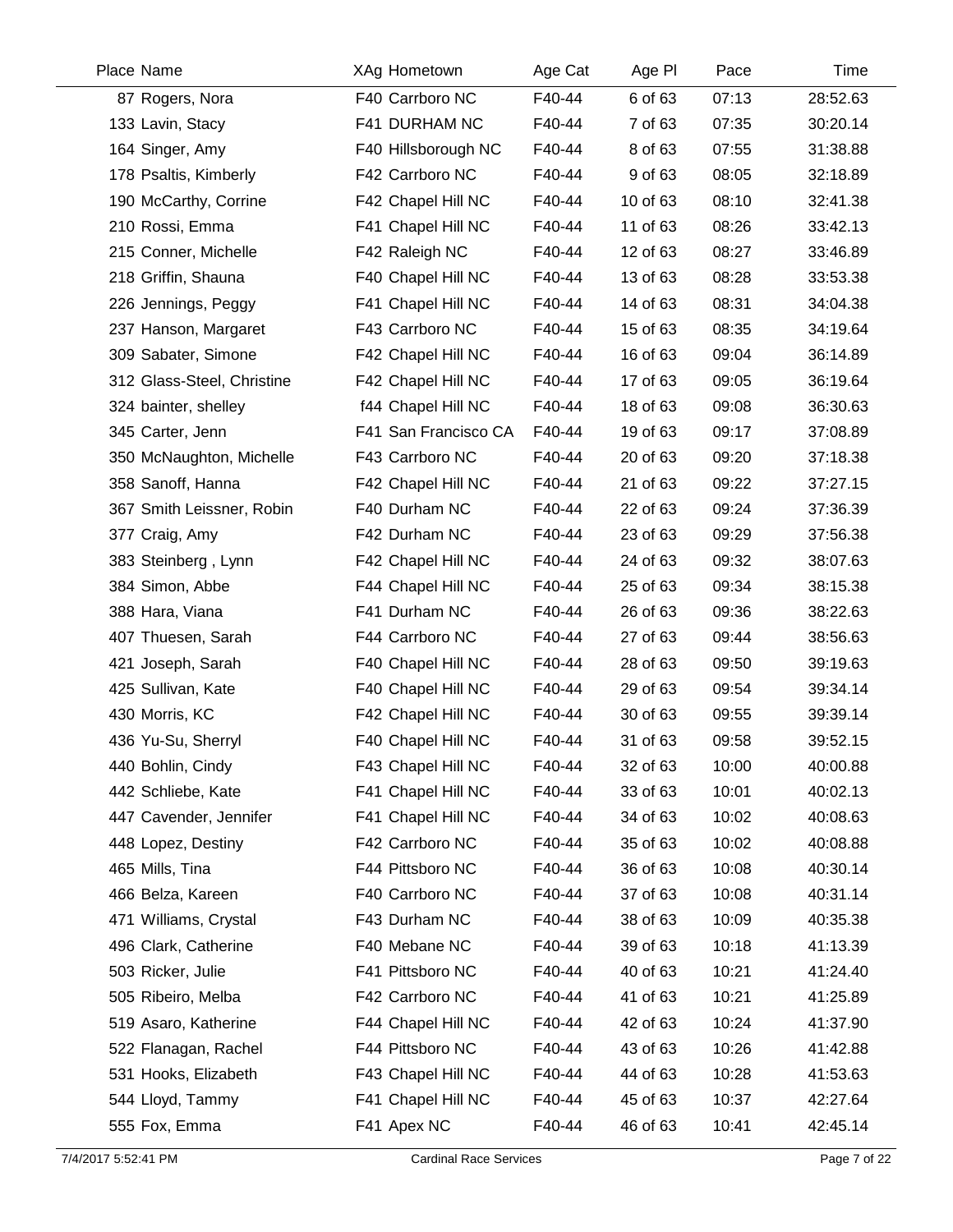| Place Name                 | XAg Hometown         | Age Cat | Age PI   | Pace  | Time     |
|----------------------------|----------------------|---------|----------|-------|----------|
| 87 Rogers, Nora            | F40 Carrboro NC      | F40-44  | 6 of 63  | 07:13 | 28:52.63 |
| 133 Lavin, Stacy           | F41 DURHAM NC        | F40-44  | 7 of 63  | 07:35 | 30:20.14 |
| 164 Singer, Amy            | F40 Hillsborough NC  | F40-44  | 8 of 63  | 07:55 | 31:38.88 |
| 178 Psaltis, Kimberly      | F42 Carrboro NC      | F40-44  | 9 of 63  | 08:05 | 32:18.89 |
| 190 McCarthy, Corrine      | F42 Chapel Hill NC   | F40-44  | 10 of 63 | 08:10 | 32:41.38 |
| 210 Rossi, Emma            | F41 Chapel Hill NC   | F40-44  | 11 of 63 | 08:26 | 33:42.13 |
| 215 Conner, Michelle       | F42 Raleigh NC       | F40-44  | 12 of 63 | 08:27 | 33:46.89 |
| 218 Griffin, Shauna        | F40 Chapel Hill NC   | F40-44  | 13 of 63 | 08:28 | 33:53.38 |
| 226 Jennings, Peggy        | F41 Chapel Hill NC   | F40-44  | 14 of 63 | 08:31 | 34:04.38 |
| 237 Hanson, Margaret       | F43 Carrboro NC      | F40-44  | 15 of 63 | 08:35 | 34:19.64 |
| 309 Sabater, Simone        | F42 Chapel Hill NC   | F40-44  | 16 of 63 | 09:04 | 36:14.89 |
| 312 Glass-Steel, Christine | F42 Chapel Hill NC   | F40-44  | 17 of 63 | 09:05 | 36:19.64 |
| 324 bainter, shelley       | f44 Chapel Hill NC   | F40-44  | 18 of 63 | 09:08 | 36:30.63 |
| 345 Carter, Jenn           | F41 San Francisco CA | F40-44  | 19 of 63 | 09:17 | 37:08.89 |
| 350 McNaughton, Michelle   | F43 Carrboro NC      | F40-44  | 20 of 63 | 09:20 | 37:18.38 |
| 358 Sanoff, Hanna          | F42 Chapel Hill NC   | F40-44  | 21 of 63 | 09:22 | 37:27.15 |
| 367 Smith Leissner, Robin  | F40 Durham NC        | F40-44  | 22 of 63 | 09:24 | 37:36.39 |
| 377 Craig, Amy             | F42 Durham NC        | F40-44  | 23 of 63 | 09:29 | 37:56.38 |
| 383 Steinberg, Lynn        | F42 Chapel Hill NC   | F40-44  | 24 of 63 | 09:32 | 38:07.63 |
| 384 Simon, Abbe            | F44 Chapel Hill NC   | F40-44  | 25 of 63 | 09:34 | 38:15.38 |
| 388 Hara, Viana            | F41 Durham NC        | F40-44  | 26 of 63 | 09:36 | 38:22.63 |
| 407 Thuesen, Sarah         | F44 Carrboro NC      | F40-44  | 27 of 63 | 09:44 | 38:56.63 |
| 421 Joseph, Sarah          | F40 Chapel Hill NC   | F40-44  | 28 of 63 | 09:50 | 39:19.63 |
| 425 Sullivan, Kate         | F40 Chapel Hill NC   | F40-44  | 29 of 63 | 09:54 | 39:34.14 |
| 430 Morris, KC             | F42 Chapel Hill NC   | F40-44  | 30 of 63 | 09:55 | 39:39.14 |
| 436 Yu-Su, Sherryl         | F40 Chapel Hill NC   | F40-44  | 31 of 63 | 09:58 | 39:52.15 |
| 440 Bohlin, Cindy          | F43 Chapel Hill NC   | F40-44  | 32 of 63 | 10:00 | 40:00.88 |
| 442 Schliebe, Kate         | F41 Chapel Hill NC   | F40-44  | 33 of 63 | 10:01 | 40:02.13 |
| 447 Cavender, Jennifer     | F41 Chapel Hill NC   | F40-44  | 34 of 63 | 10:02 | 40:08.63 |
| 448 Lopez, Destiny         | F42 Carrboro NC      | F40-44  | 35 of 63 | 10:02 | 40:08.88 |
| 465 Mills, Tina            | F44 Pittsboro NC     | F40-44  | 36 of 63 | 10:08 | 40:30.14 |
| 466 Belza, Kareen          | F40 Carrboro NC      | F40-44  | 37 of 63 | 10:08 | 40:31.14 |
| 471 Williams, Crystal      | F43 Durham NC        | F40-44  | 38 of 63 | 10:09 | 40:35.38 |
| 496 Clark, Catherine       | F40 Mebane NC        | F40-44  | 39 of 63 | 10:18 | 41:13.39 |
| 503 Ricker, Julie          | F41 Pittsboro NC     | F40-44  | 40 of 63 | 10:21 | 41:24.40 |
| 505 Ribeiro, Melba         | F42 Carrboro NC      | F40-44  | 41 of 63 | 10:21 | 41:25.89 |
| 519 Asaro, Katherine       | F44 Chapel Hill NC   | F40-44  | 42 of 63 | 10:24 | 41:37.90 |
| 522 Flanagan, Rachel       | F44 Pittsboro NC     | F40-44  | 43 of 63 | 10:26 | 41:42.88 |
| 531 Hooks, Elizabeth       | F43 Chapel Hill NC   | F40-44  | 44 of 63 | 10:28 | 41:53.63 |
| 544 Lloyd, Tammy           | F41 Chapel Hill NC   | F40-44  | 45 of 63 | 10:37 | 42:27.64 |
| 555 Fox, Emma              | F41 Apex NC          | F40-44  | 46 of 63 | 10:41 | 42:45.14 |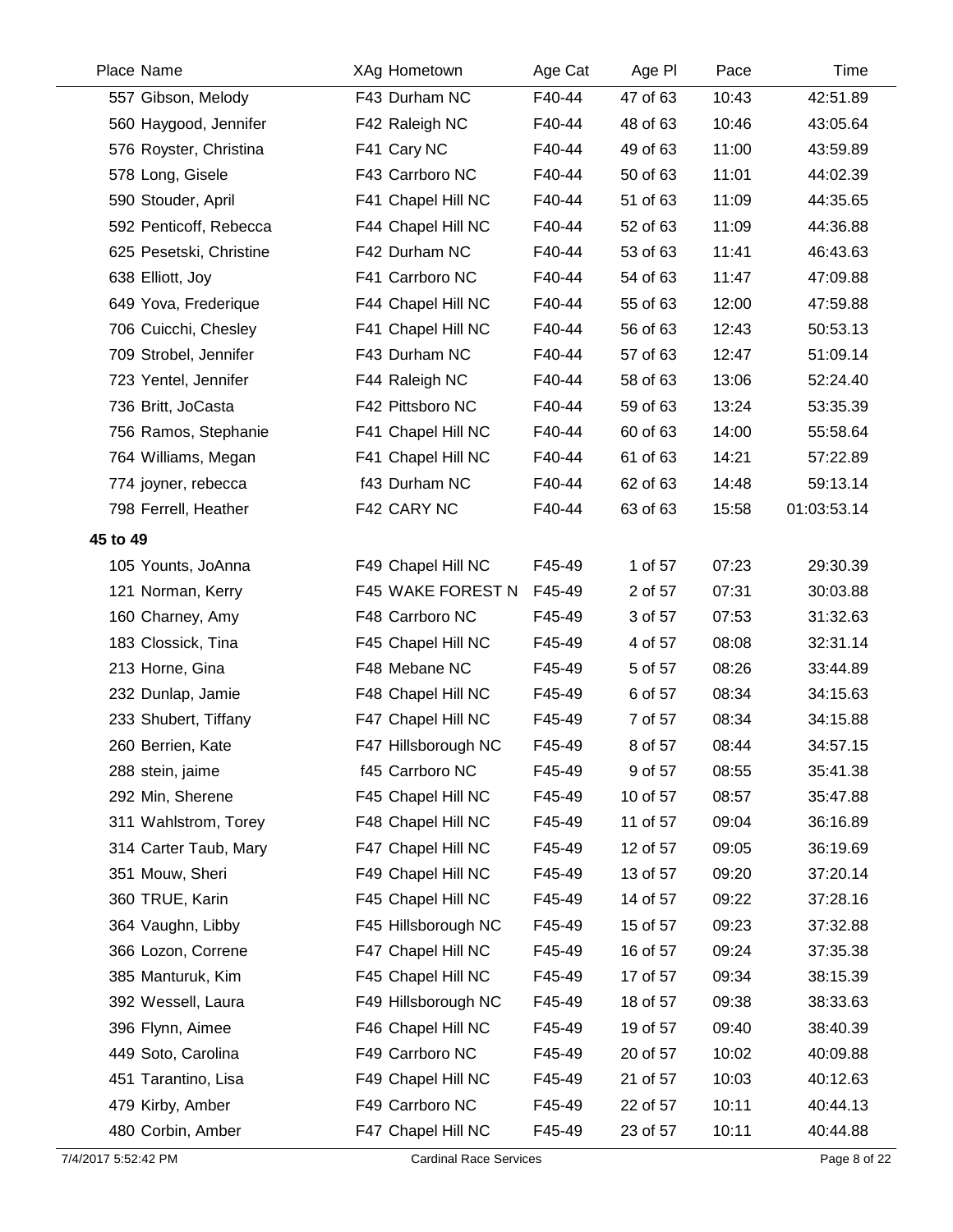| Place Name              | XAg Hometown        | Age Cat | Age PI   | Pace  | Time        |
|-------------------------|---------------------|---------|----------|-------|-------------|
| 557 Gibson, Melody      | F43 Durham NC       | F40-44  | 47 of 63 | 10:43 | 42:51.89    |
| 560 Haygood, Jennifer   | F42 Raleigh NC      | F40-44  | 48 of 63 | 10:46 | 43:05.64    |
| 576 Royster, Christina  | F41 Cary NC         | F40-44  | 49 of 63 | 11:00 | 43:59.89    |
| 578 Long, Gisele        | F43 Carrboro NC     | F40-44  | 50 of 63 | 11:01 | 44:02.39    |
| 590 Stouder, April      | F41 Chapel Hill NC  | F40-44  | 51 of 63 | 11:09 | 44:35.65    |
| 592 Penticoff, Rebecca  | F44 Chapel Hill NC  | F40-44  | 52 of 63 | 11:09 | 44:36.88    |
| 625 Pesetski, Christine | F42 Durham NC       | F40-44  | 53 of 63 | 11:41 | 46:43.63    |
| 638 Elliott, Joy        | F41 Carrboro NC     | F40-44  | 54 of 63 | 11:47 | 47:09.88    |
| 649 Yova, Frederique    | F44 Chapel Hill NC  | F40-44  | 55 of 63 | 12:00 | 47:59.88    |
| 706 Cuicchi, Chesley    | F41 Chapel Hill NC  | F40-44  | 56 of 63 | 12:43 | 50:53.13    |
| 709 Strobel, Jennifer   | F43 Durham NC       | F40-44  | 57 of 63 | 12:47 | 51:09.14    |
| 723 Yentel, Jennifer    | F44 Raleigh NC      | F40-44  | 58 of 63 | 13:06 | 52:24.40    |
| 736 Britt, JoCasta      | F42 Pittsboro NC    | F40-44  | 59 of 63 | 13:24 | 53:35.39    |
| 756 Ramos, Stephanie    | F41 Chapel Hill NC  | F40-44  | 60 of 63 | 14:00 | 55:58.64    |
| 764 Williams, Megan     | F41 Chapel Hill NC  | F40-44  | 61 of 63 | 14:21 | 57:22.89    |
| 774 joyner, rebecca     | f43 Durham NC       | F40-44  | 62 of 63 | 14:48 | 59:13.14    |
| 798 Ferrell, Heather    | F42 CARY NC         | F40-44  | 63 of 63 | 15:58 | 01:03:53.14 |
| 45 to 49                |                     |         |          |       |             |
| 105 Younts, JoAnna      | F49 Chapel Hill NC  | F45-49  | 1 of 57  | 07:23 | 29:30.39    |
| 121 Norman, Kerry       | F45 WAKE FOREST N   | F45-49  | 2 of 57  | 07:31 | 30:03.88    |
| 160 Charney, Amy        | F48 Carrboro NC     | F45-49  | 3 of 57  | 07:53 | 31:32.63    |
| 183 Clossick, Tina      | F45 Chapel Hill NC  | F45-49  | 4 of 57  | 08:08 | 32:31.14    |
| 213 Horne, Gina         | F48 Mebane NC       | F45-49  | 5 of 57  | 08:26 | 33:44.89    |
| 232 Dunlap, Jamie       | F48 Chapel Hill NC  | F45-49  | 6 of 57  | 08:34 | 34:15.63    |
| 233 Shubert, Tiffany    | F47 Chapel Hill NC  | F45-49  | 7 of 57  | 08:34 | 34:15.88    |
| 260 Berrien, Kate       | F47 Hillsborough NC | F45-49  | 8 of 57  | 08:44 | 34:57.15    |
| 288 stein, jaime        | f45 Carrboro NC     | F45-49  | 9 of 57  | 08:55 | 35:41.38    |
| 292 Min, Sherene        | F45 Chapel Hill NC  | F45-49  | 10 of 57 | 08:57 | 35:47.88    |
| 311 Wahlstrom, Torey    | F48 Chapel Hill NC  | F45-49  | 11 of 57 | 09:04 | 36:16.89    |
| 314 Carter Taub, Mary   | F47 Chapel Hill NC  | F45-49  | 12 of 57 | 09:05 | 36:19.69    |
| 351 Mouw, Sheri         | F49 Chapel Hill NC  | F45-49  | 13 of 57 | 09:20 | 37:20.14    |
| 360 TRUE, Karin         | F45 Chapel Hill NC  | F45-49  | 14 of 57 | 09:22 | 37:28.16    |
| 364 Vaughn, Libby       | F45 Hillsborough NC | F45-49  | 15 of 57 | 09:23 | 37:32.88    |
| 366 Lozon, Correne      | F47 Chapel Hill NC  | F45-49  | 16 of 57 | 09:24 | 37:35.38    |
| 385 Manturuk, Kim       | F45 Chapel Hill NC  | F45-49  | 17 of 57 | 09:34 | 38:15.39    |
| 392 Wessell, Laura      | F49 Hillsborough NC | F45-49  | 18 of 57 | 09:38 | 38:33.63    |
| 396 Flynn, Aimee        | F46 Chapel Hill NC  | F45-49  | 19 of 57 | 09:40 | 38:40.39    |
| 449 Soto, Carolina      | F49 Carrboro NC     | F45-49  | 20 of 57 | 10:02 | 40:09.88    |
| 451 Tarantino, Lisa     | F49 Chapel Hill NC  | F45-49  | 21 of 57 | 10:03 | 40:12.63    |
| 479 Kirby, Amber        | F49 Carrboro NC     | F45-49  | 22 of 57 | 10:11 | 40:44.13    |
| 480 Corbin, Amber       | F47 Chapel Hill NC  | F45-49  | 23 of 57 | 10:11 | 40:44.88    |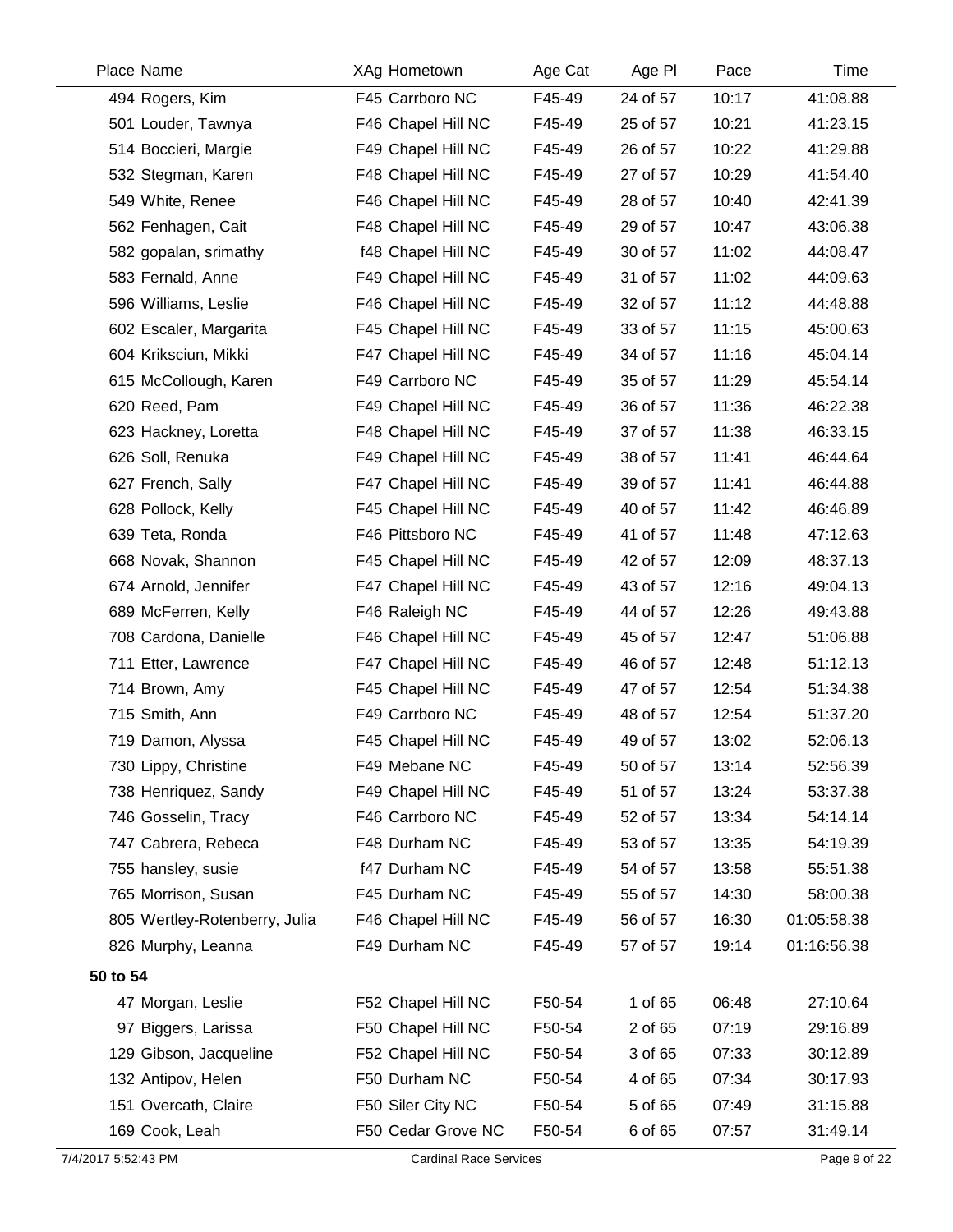| Place Name                    | XAg Hometown                  | Age Cat | Age PI   | Pace  | Time         |
|-------------------------------|-------------------------------|---------|----------|-------|--------------|
| 494 Rogers, Kim               | F45 Carrboro NC               | F45-49  | 24 of 57 | 10:17 | 41:08.88     |
| 501 Louder, Tawnya            | F46 Chapel Hill NC            | F45-49  | 25 of 57 | 10:21 | 41:23.15     |
| 514 Boccieri, Margie          | F49 Chapel Hill NC            | F45-49  | 26 of 57 | 10:22 | 41:29.88     |
| 532 Stegman, Karen            | F48 Chapel Hill NC            | F45-49  | 27 of 57 | 10:29 | 41:54.40     |
| 549 White, Renee              | F46 Chapel Hill NC            | F45-49  | 28 of 57 | 10:40 | 42:41.39     |
| 562 Fenhagen, Cait            | F48 Chapel Hill NC            | F45-49  | 29 of 57 | 10:47 | 43:06.38     |
| 582 gopalan, srimathy         | f48 Chapel Hill NC            | F45-49  | 30 of 57 | 11:02 | 44:08.47     |
| 583 Fernald, Anne             | F49 Chapel Hill NC            | F45-49  | 31 of 57 | 11:02 | 44:09.63     |
| 596 Williams, Leslie          | F46 Chapel Hill NC            | F45-49  | 32 of 57 | 11:12 | 44:48.88     |
| 602 Escaler, Margarita        | F45 Chapel Hill NC            | F45-49  | 33 of 57 | 11:15 | 45:00.63     |
| 604 Kriksciun, Mikki          | F47 Chapel Hill NC            | F45-49  | 34 of 57 | 11:16 | 45:04.14     |
| 615 McCollough, Karen         | F49 Carrboro NC               | F45-49  | 35 of 57 | 11:29 | 45:54.14     |
| 620 Reed, Pam                 | F49 Chapel Hill NC            | F45-49  | 36 of 57 | 11:36 | 46:22.38     |
| 623 Hackney, Loretta          | F48 Chapel Hill NC            | F45-49  | 37 of 57 | 11:38 | 46:33.15     |
| 626 Soll, Renuka              | F49 Chapel Hill NC            | F45-49  | 38 of 57 | 11:41 | 46:44.64     |
| 627 French, Sally             | F47 Chapel Hill NC            | F45-49  | 39 of 57 | 11:41 | 46:44.88     |
| 628 Pollock, Kelly            | F45 Chapel Hill NC            | F45-49  | 40 of 57 | 11:42 | 46:46.89     |
| 639 Teta, Ronda               | F46 Pittsboro NC              | F45-49  | 41 of 57 | 11:48 | 47:12.63     |
| 668 Novak, Shannon            | F45 Chapel Hill NC            | F45-49  | 42 of 57 | 12:09 | 48:37.13     |
| 674 Arnold, Jennifer          | F47 Chapel Hill NC            | F45-49  | 43 of 57 | 12:16 | 49:04.13     |
| 689 McFerren, Kelly           | F46 Raleigh NC                | F45-49  | 44 of 57 | 12:26 | 49:43.88     |
| 708 Cardona, Danielle         | F46 Chapel Hill NC            | F45-49  | 45 of 57 | 12:47 | 51:06.88     |
| 711 Etter, Lawrence           | F47 Chapel Hill NC            | F45-49  | 46 of 57 | 12:48 | 51:12.13     |
| 714 Brown, Amy                | F45 Chapel Hill NC            | F45-49  | 47 of 57 | 12:54 | 51:34.38     |
| 715 Smith, Ann                | F49 Carrboro NC               | F45-49  | 48 of 57 | 12:54 | 51:37.20     |
| 719 Damon, Alyssa             | F45 Chapel Hill NC            | F45-49  | 49 of 57 | 13:02 | 52:06.13     |
| 730 Lippy, Christine          | F49 Mebane NC                 | F45-49  | 50 of 57 | 13:14 | 52:56.39     |
| 738 Henriquez, Sandy          | F49 Chapel Hill NC            | F45-49  | 51 of 57 | 13:24 | 53:37.38     |
| 746 Gosselin, Tracy           | F46 Carrboro NC               | F45-49  | 52 of 57 | 13:34 | 54:14.14     |
| 747 Cabrera, Rebeca           | F48 Durham NC                 | F45-49  | 53 of 57 | 13:35 | 54:19.39     |
| 755 hansley, susie            | f47 Durham NC                 | F45-49  | 54 of 57 | 13:58 | 55:51.38     |
| 765 Morrison, Susan           | F45 Durham NC                 | F45-49  | 55 of 57 | 14:30 | 58:00.38     |
| 805 Wertley-Rotenberry, Julia | F46 Chapel Hill NC            | F45-49  | 56 of 57 | 16:30 | 01:05:58.38  |
| 826 Murphy, Leanna            | F49 Durham NC                 | F45-49  | 57 of 57 | 19:14 | 01:16:56.38  |
| 50 to 54                      |                               |         |          |       |              |
| 47 Morgan, Leslie             | F52 Chapel Hill NC            | F50-54  | 1 of 65  | 06:48 | 27:10.64     |
| 97 Biggers, Larissa           | F50 Chapel Hill NC            | F50-54  | 2 of 65  | 07:19 | 29:16.89     |
| 129 Gibson, Jacqueline        | F52 Chapel Hill NC            | F50-54  | 3 of 65  | 07:33 | 30:12.89     |
| 132 Antipov, Helen            | F50 Durham NC                 | F50-54  | 4 of 65  | 07:34 | 30:17.93     |
| 151 Overcath, Claire          | F50 Siler City NC             | F50-54  | 5 of 65  | 07:49 | 31:15.88     |
| 169 Cook, Leah                | F50 Cedar Grove NC            | F50-54  | 6 of 65  | 07:57 | 31:49.14     |
| 7/4/2017 5:52:43 PM           | <b>Cardinal Race Services</b> |         |          |       | Page 9 of 22 |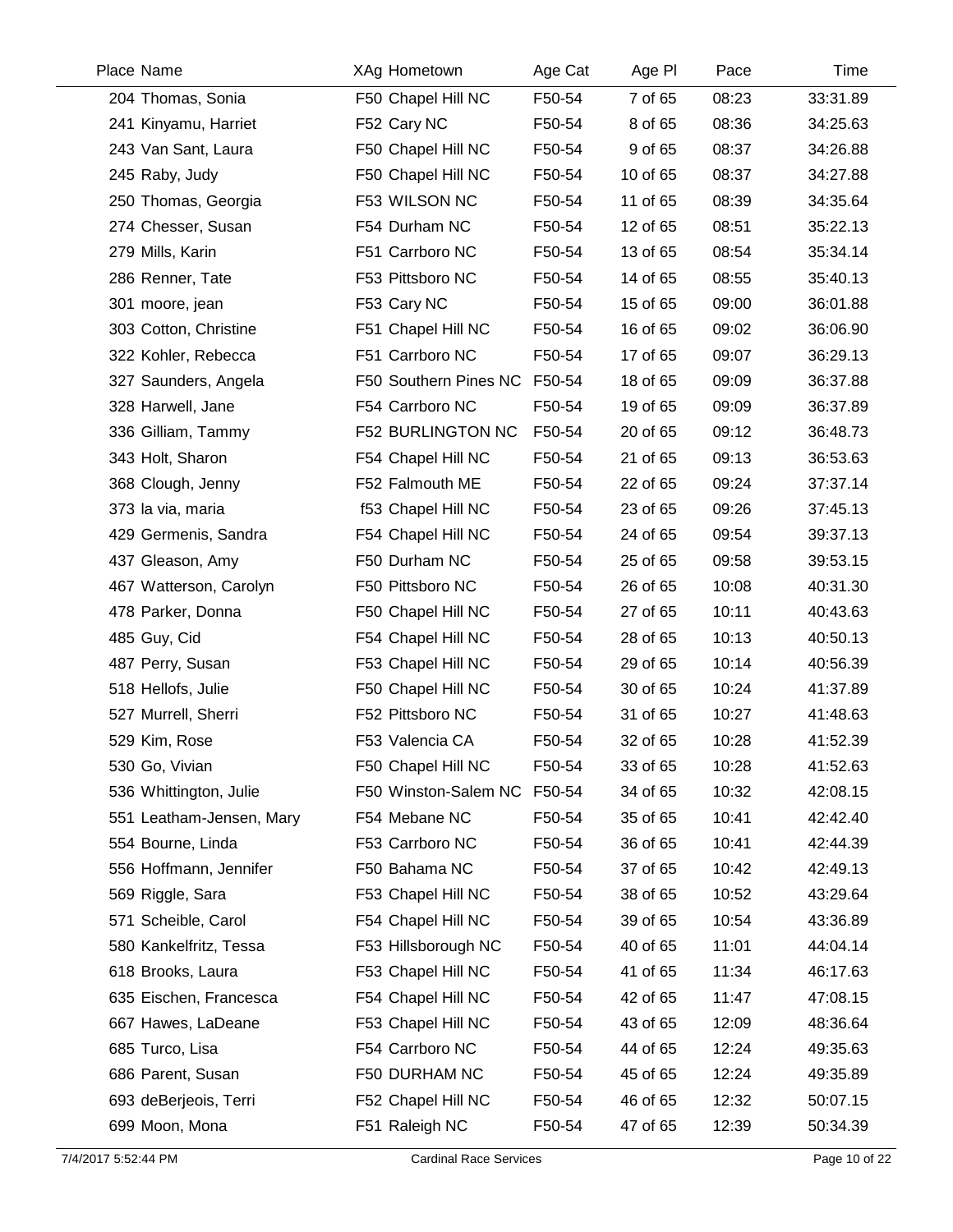| Place Name               | XAg Hometown          | Age Cat | Age PI   | Pace  | Time     |
|--------------------------|-----------------------|---------|----------|-------|----------|
| 204 Thomas, Sonia        | F50 Chapel Hill NC    | F50-54  | 7 of 65  | 08:23 | 33:31.89 |
| 241 Kinyamu, Harriet     | F52 Cary NC           | F50-54  | 8 of 65  | 08:36 | 34:25.63 |
| 243 Van Sant, Laura      | F50 Chapel Hill NC    | F50-54  | 9 of 65  | 08:37 | 34:26.88 |
| 245 Raby, Judy           | F50 Chapel Hill NC    | F50-54  | 10 of 65 | 08:37 | 34:27.88 |
| 250 Thomas, Georgia      | F53 WILSON NC         | F50-54  | 11 of 65 | 08:39 | 34:35.64 |
| 274 Chesser, Susan       | F54 Durham NC         | F50-54  | 12 of 65 | 08:51 | 35:22.13 |
| 279 Mills, Karin         | F51 Carrboro NC       | F50-54  | 13 of 65 | 08:54 | 35:34.14 |
| 286 Renner, Tate         | F53 Pittsboro NC      | F50-54  | 14 of 65 | 08:55 | 35:40.13 |
| 301 moore, jean          | F53 Cary NC           | F50-54  | 15 of 65 | 09:00 | 36:01.88 |
| 303 Cotton, Christine    | F51 Chapel Hill NC    | F50-54  | 16 of 65 | 09:02 | 36:06.90 |
| 322 Kohler, Rebecca      | F51 Carrboro NC       | F50-54  | 17 of 65 | 09:07 | 36:29.13 |
| 327 Saunders, Angela     | F50 Southern Pines NC | F50-54  | 18 of 65 | 09:09 | 36:37.88 |
| 328 Harwell, Jane        | F54 Carrboro NC       | F50-54  | 19 of 65 | 09:09 | 36:37.89 |
| 336 Gilliam, Tammy       | F52 BURLINGTON NC     | F50-54  | 20 of 65 | 09:12 | 36:48.73 |
| 343 Holt, Sharon         | F54 Chapel Hill NC    | F50-54  | 21 of 65 | 09:13 | 36:53.63 |
| 368 Clough, Jenny        | F52 Falmouth ME       | F50-54  | 22 of 65 | 09:24 | 37:37.14 |
| 373 la via, maria        | f53 Chapel Hill NC    | F50-54  | 23 of 65 | 09:26 | 37:45.13 |
| 429 Germenis, Sandra     | F54 Chapel Hill NC    | F50-54  | 24 of 65 | 09:54 | 39:37.13 |
| 437 Gleason, Amy         | F50 Durham NC         | F50-54  | 25 of 65 | 09:58 | 39:53.15 |
| 467 Watterson, Carolyn   | F50 Pittsboro NC      | F50-54  | 26 of 65 | 10:08 | 40:31.30 |
| 478 Parker, Donna        | F50 Chapel Hill NC    | F50-54  | 27 of 65 | 10:11 | 40:43.63 |
| 485 Guy, Cid             | F54 Chapel Hill NC    | F50-54  | 28 of 65 | 10:13 | 40:50.13 |
| 487 Perry, Susan         | F53 Chapel Hill NC    | F50-54  | 29 of 65 | 10:14 | 40:56.39 |
| 518 Hellofs, Julie       | F50 Chapel Hill NC    | F50-54  | 30 of 65 | 10:24 | 41:37.89 |
| 527 Murrell, Sherri      | F52 Pittsboro NC      | F50-54  | 31 of 65 | 10:27 | 41:48.63 |
| 529 Kim, Rose            | F53 Valencia CA       | F50-54  | 32 of 65 | 10:28 | 41:52.39 |
| 530 Go, Vivian           | F50 Chapel Hill NC    | F50-54  | 33 of 65 | 10:28 | 41:52.63 |
| 536 Whittington, Julie   | F50 Winston-Salem NC  | F50-54  | 34 of 65 | 10:32 | 42:08.15 |
| 551 Leatham-Jensen, Mary | F54 Mebane NC         | F50-54  | 35 of 65 | 10:41 | 42:42.40 |
| 554 Bourne, Linda        | F53 Carrboro NC       | F50-54  | 36 of 65 | 10:41 | 42:44.39 |
| 556 Hoffmann, Jennifer   | F50 Bahama NC         | F50-54  | 37 of 65 | 10:42 | 42:49.13 |
| 569 Riggle, Sara         | F53 Chapel Hill NC    | F50-54  | 38 of 65 | 10:52 | 43:29.64 |
| 571 Scheible, Carol      | F54 Chapel Hill NC    | F50-54  | 39 of 65 | 10:54 | 43:36.89 |
| 580 Kankelfritz, Tessa   | F53 Hillsborough NC   | F50-54  | 40 of 65 | 11:01 | 44:04.14 |
| 618 Brooks, Laura        | F53 Chapel Hill NC    | F50-54  | 41 of 65 | 11:34 | 46:17.63 |
| 635 Eischen, Francesca   | F54 Chapel Hill NC    | F50-54  | 42 of 65 | 11:47 | 47:08.15 |
| 667 Hawes, LaDeane       | F53 Chapel Hill NC    | F50-54  | 43 of 65 | 12:09 | 48:36.64 |
| 685 Turco, Lisa          | F54 Carrboro NC       | F50-54  | 44 of 65 | 12:24 | 49:35.63 |
| 686 Parent, Susan        | F50 DURHAM NC         | F50-54  | 45 of 65 | 12:24 | 49:35.89 |
| 693 deBerjeois, Terri    | F52 Chapel Hill NC    | F50-54  | 46 of 65 | 12:32 | 50:07.15 |
| 699 Moon, Mona           | F51 Raleigh NC        | F50-54  | 47 of 65 | 12:39 | 50:34.39 |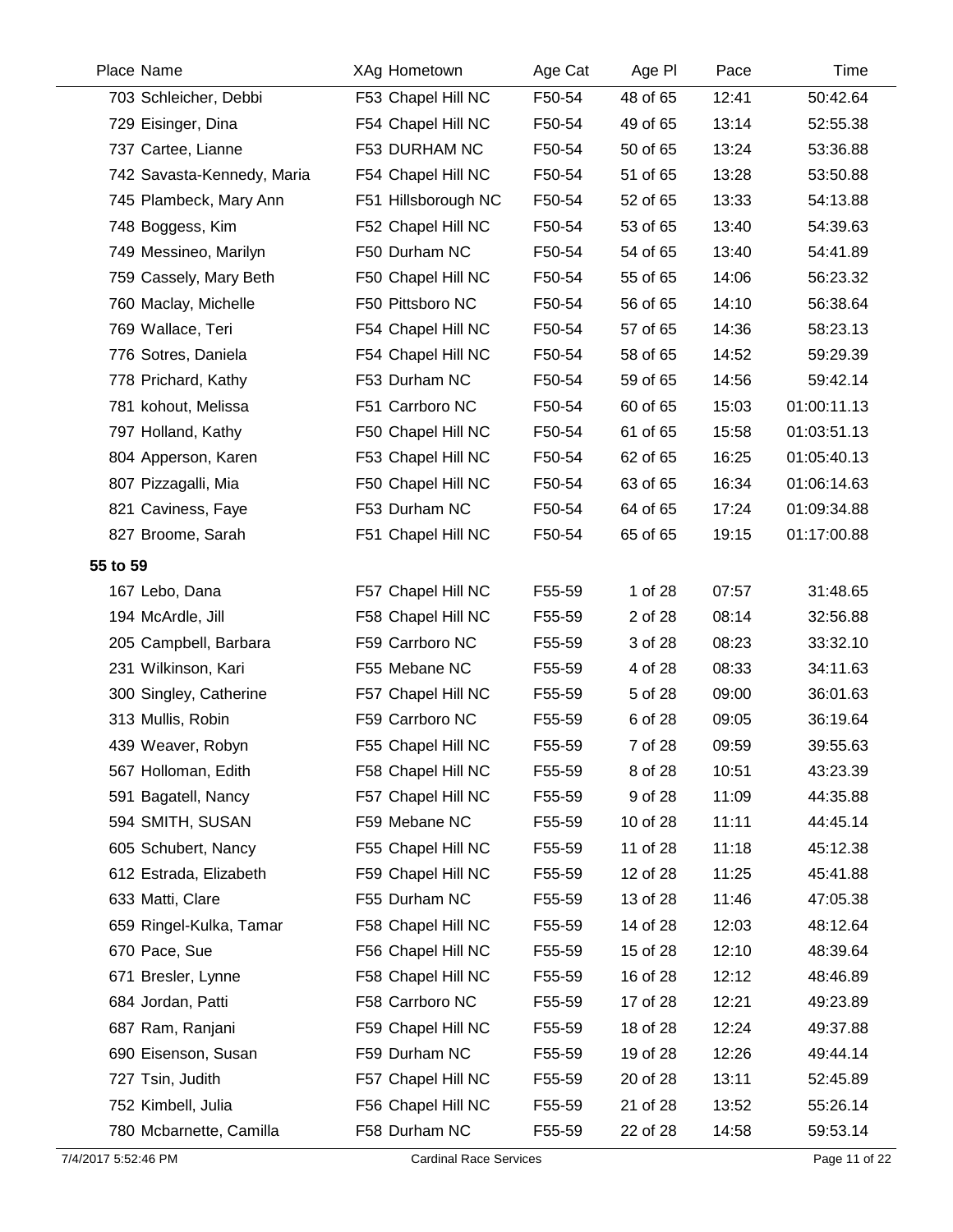| Place Name                 | <b>XAg Hometown</b> | Age Cat | Age PI   | Pace  | Time        |
|----------------------------|---------------------|---------|----------|-------|-------------|
| 703 Schleicher, Debbi      | F53 Chapel Hill NC  | F50-54  | 48 of 65 | 12:41 | 50:42.64    |
| 729 Eisinger, Dina         | F54 Chapel Hill NC  | F50-54  | 49 of 65 | 13:14 | 52:55.38    |
| 737 Cartee, Lianne         | F53 DURHAM NC       | F50-54  | 50 of 65 | 13:24 | 53:36.88    |
| 742 Savasta-Kennedy, Maria | F54 Chapel Hill NC  | F50-54  | 51 of 65 | 13:28 | 53:50.88    |
| 745 Plambeck, Mary Ann     | F51 Hillsborough NC | F50-54  | 52 of 65 | 13:33 | 54:13.88    |
| 748 Boggess, Kim           | F52 Chapel Hill NC  | F50-54  | 53 of 65 | 13:40 | 54:39.63    |
| 749 Messineo, Marilyn      | F50 Durham NC       | F50-54  | 54 of 65 | 13:40 | 54:41.89    |
| 759 Cassely, Mary Beth     | F50 Chapel Hill NC  | F50-54  | 55 of 65 | 14:06 | 56:23.32    |
| 760 Maclay, Michelle       | F50 Pittsboro NC    | F50-54  | 56 of 65 | 14:10 | 56:38.64    |
| 769 Wallace, Teri          | F54 Chapel Hill NC  | F50-54  | 57 of 65 | 14:36 | 58:23.13    |
| 776 Sotres, Daniela        | F54 Chapel Hill NC  | F50-54  | 58 of 65 | 14:52 | 59:29.39    |
| 778 Prichard, Kathy        | F53 Durham NC       | F50-54  | 59 of 65 | 14:56 | 59:42.14    |
| 781 kohout, Melissa        | F51 Carrboro NC     | F50-54  | 60 of 65 | 15:03 | 01:00:11.13 |
| 797 Holland, Kathy         | F50 Chapel Hill NC  | F50-54  | 61 of 65 | 15:58 | 01:03:51.13 |
| 804 Apperson, Karen        | F53 Chapel Hill NC  | F50-54  | 62 of 65 | 16:25 | 01:05:40.13 |
| 807 Pizzagalli, Mia        | F50 Chapel Hill NC  | F50-54  | 63 of 65 | 16:34 | 01:06:14.63 |
| 821 Caviness, Faye         | F53 Durham NC       | F50-54  | 64 of 65 | 17:24 | 01:09:34.88 |
| 827 Broome, Sarah          | F51 Chapel Hill NC  | F50-54  | 65 of 65 | 19:15 | 01:17:00.88 |
| 55 to 59                   |                     |         |          |       |             |
| 167 Lebo, Dana             | F57 Chapel Hill NC  | F55-59  | 1 of 28  | 07:57 | 31:48.65    |
| 194 McArdle, Jill          | F58 Chapel Hill NC  | F55-59  | 2 of 28  | 08:14 | 32:56.88    |
| 205 Campbell, Barbara      | F59 Carrboro NC     | F55-59  | 3 of 28  | 08:23 | 33:32.10    |
| 231 Wilkinson, Kari        | F55 Mebane NC       | F55-59  | 4 of 28  | 08:33 | 34:11.63    |
| 300 Singley, Catherine     | F57 Chapel Hill NC  | F55-59  | 5 of 28  | 09:00 | 36:01.63    |
| 313 Mullis, Robin          | F59 Carrboro NC     | F55-59  | 6 of 28  | 09:05 | 36:19.64    |
| 439 Weaver, Robyn          | F55 Chapel Hill NC  | F55-59  | 7 of 28  | 09:59 | 39:55.63    |
| 567 Holloman, Edith        | F58 Chapel Hill NC  | F55-59  | 8 of 28  | 10:51 | 43:23.39    |
| 591 Bagatell, Nancy        | F57 Chapel Hill NC  | F55-59  | 9 of 28  | 11:09 | 44:35.88    |
| 594 SMITH, SUSAN           | F59 Mebane NC       | F55-59  | 10 of 28 | 11:11 | 44:45.14    |
| 605 Schubert, Nancy        | F55 Chapel Hill NC  | F55-59  | 11 of 28 | 11:18 | 45:12.38    |
| 612 Estrada, Elizabeth     | F59 Chapel Hill NC  | F55-59  | 12 of 28 | 11:25 | 45:41.88    |
| 633 Matti, Clare           | F55 Durham NC       | F55-59  | 13 of 28 | 11:46 | 47:05.38    |
| 659 Ringel-Kulka, Tamar    | F58 Chapel Hill NC  | F55-59  | 14 of 28 | 12:03 | 48:12.64    |
| 670 Pace, Sue              | F56 Chapel Hill NC  | F55-59  | 15 of 28 | 12:10 | 48:39.64    |
| 671 Bresler, Lynne         | F58 Chapel Hill NC  | F55-59  | 16 of 28 | 12:12 | 48:46.89    |
| 684 Jordan, Patti          | F58 Carrboro NC     | F55-59  | 17 of 28 | 12:21 | 49:23.89    |
| 687 Ram, Ranjani           | F59 Chapel Hill NC  | F55-59  | 18 of 28 | 12:24 | 49:37.88    |
| 690 Eisenson, Susan        | F59 Durham NC       | F55-59  | 19 of 28 | 12:26 | 49:44.14    |
| 727 Tsin, Judith           | F57 Chapel Hill NC  | F55-59  | 20 of 28 | 13:11 | 52:45.89    |
| 752 Kimbell, Julia         | F56 Chapel Hill NC  | F55-59  | 21 of 28 | 13:52 | 55:26.14    |
| 780 Mcbarnette, Camilla    | F58 Durham NC       | F55-59  | 22 of 28 | 14:58 | 59:53.14    |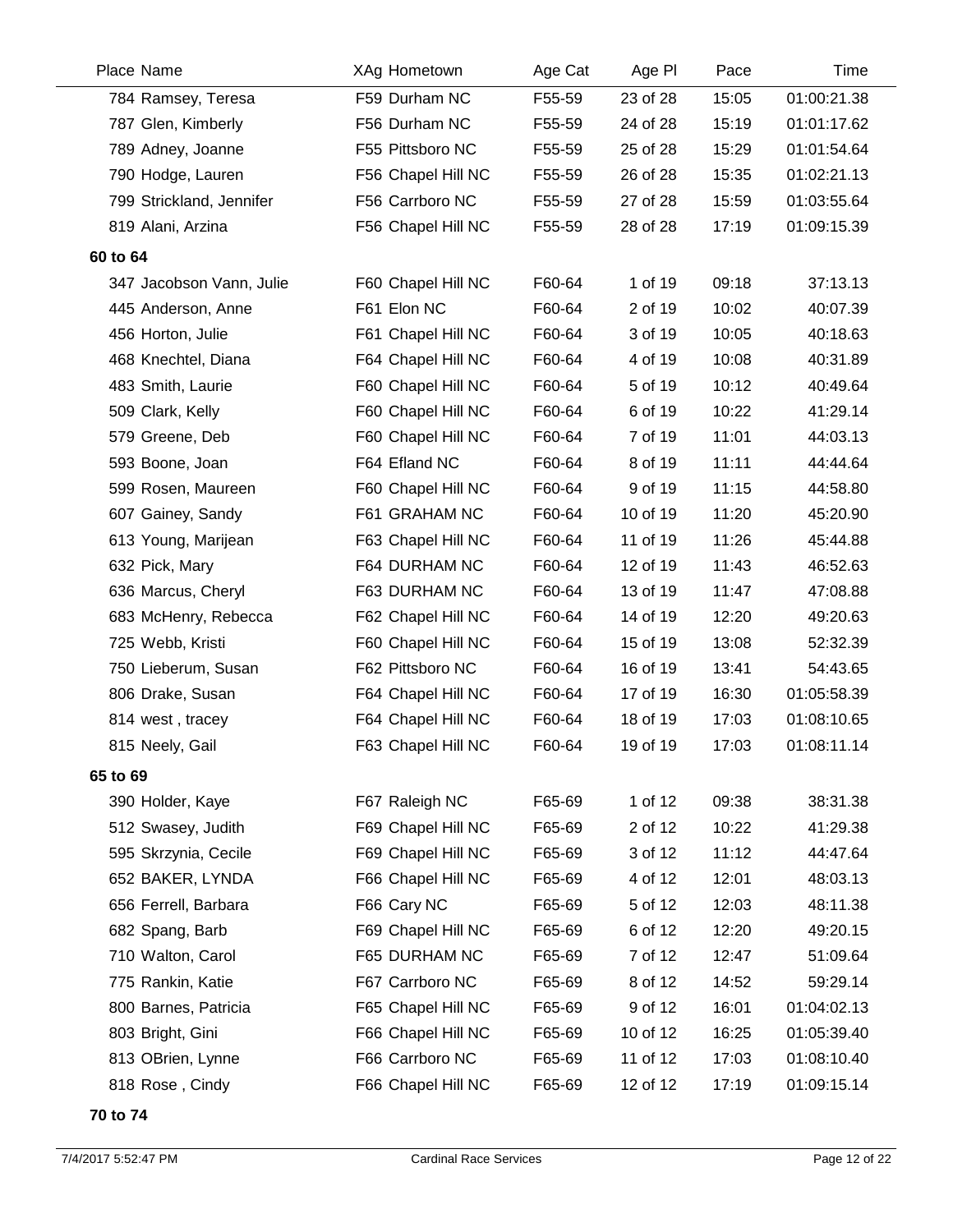| Place Name               | XAg Hometown       | Age Cat | Age PI   | Pace  | Time        |
|--------------------------|--------------------|---------|----------|-------|-------------|
| 784 Ramsey, Teresa       | F59 Durham NC      | F55-59  | 23 of 28 | 15:05 | 01:00:21.38 |
| 787 Glen, Kimberly       | F56 Durham NC      | F55-59  | 24 of 28 | 15:19 | 01:01:17.62 |
| 789 Adney, Joanne        | F55 Pittsboro NC   | F55-59  | 25 of 28 | 15:29 | 01:01:54.64 |
| 790 Hodge, Lauren        | F56 Chapel Hill NC | F55-59  | 26 of 28 | 15:35 | 01:02:21.13 |
| 799 Strickland, Jennifer | F56 Carrboro NC    | F55-59  | 27 of 28 | 15:59 | 01:03:55.64 |
| 819 Alani, Arzina        | F56 Chapel Hill NC | F55-59  | 28 of 28 | 17:19 | 01:09:15.39 |
| 60 to 64                 |                    |         |          |       |             |
| 347 Jacobson Vann, Julie | F60 Chapel Hill NC | F60-64  | 1 of 19  | 09:18 | 37:13.13    |
| 445 Anderson, Anne       | F61 Elon NC        | F60-64  | 2 of 19  | 10:02 | 40:07.39    |
| 456 Horton, Julie        | F61 Chapel Hill NC | F60-64  | 3 of 19  | 10:05 | 40:18.63    |
| 468 Knechtel, Diana      | F64 Chapel Hill NC | F60-64  | 4 of 19  | 10:08 | 40:31.89    |
| 483 Smith, Laurie        | F60 Chapel Hill NC | F60-64  | 5 of 19  | 10:12 | 40:49.64    |
| 509 Clark, Kelly         | F60 Chapel Hill NC | F60-64  | 6 of 19  | 10:22 | 41:29.14    |
| 579 Greene, Deb          | F60 Chapel Hill NC | F60-64  | 7 of 19  | 11:01 | 44:03.13    |
| 593 Boone, Joan          | F64 Efland NC      | F60-64  | 8 of 19  | 11:11 | 44:44.64    |
| 599 Rosen, Maureen       | F60 Chapel Hill NC | F60-64  | 9 of 19  | 11:15 | 44:58.80    |
| 607 Gainey, Sandy        | F61 GRAHAM NC      | F60-64  | 10 of 19 | 11:20 | 45:20.90    |
| 613 Young, Marijean      | F63 Chapel Hill NC | F60-64  | 11 of 19 | 11:26 | 45:44.88    |
| 632 Pick, Mary           | F64 DURHAM NC      | F60-64  | 12 of 19 | 11:43 | 46:52.63    |
| 636 Marcus, Cheryl       | F63 DURHAM NC      | F60-64  | 13 of 19 | 11:47 | 47:08.88    |
| 683 McHenry, Rebecca     | F62 Chapel Hill NC | F60-64  | 14 of 19 | 12:20 | 49:20.63    |
| 725 Webb, Kristi         | F60 Chapel Hill NC | F60-64  | 15 of 19 | 13:08 | 52:32.39    |
| 750 Lieberum, Susan      | F62 Pittsboro NC   | F60-64  | 16 of 19 | 13:41 | 54:43.65    |
| 806 Drake, Susan         | F64 Chapel Hill NC | F60-64  | 17 of 19 | 16:30 | 01:05:58.39 |
| 814 west, tracey         | F64 Chapel Hill NC | F60-64  | 18 of 19 | 17:03 | 01:08:10.65 |
| 815 Neely, Gail          | F63 Chapel Hill NC | F60-64  | 19 of 19 | 17:03 | 01:08:11.14 |
| 65 to 69                 |                    |         |          |       |             |
| 390 Holder, Kaye         | F67 Raleigh NC     | F65-69  | 1 of 12  | 09:38 | 38:31.38    |
| 512 Swasey, Judith       | F69 Chapel Hill NC | F65-69  | 2 of 12  | 10:22 | 41:29.38    |
| 595 Skrzynia, Cecile     | F69 Chapel Hill NC | F65-69  | 3 of 12  | 11:12 | 44:47.64    |
| 652 BAKER, LYNDA         | F66 Chapel Hill NC | F65-69  | 4 of 12  | 12:01 | 48:03.13    |
| 656 Ferrell, Barbara     | F66 Cary NC        | F65-69  | 5 of 12  | 12:03 | 48:11.38    |
| 682 Spang, Barb          | F69 Chapel Hill NC | F65-69  | 6 of 12  | 12:20 | 49:20.15    |
| 710 Walton, Carol        | F65 DURHAM NC      | F65-69  | 7 of 12  | 12:47 | 51:09.64    |
| 775 Rankin, Katie        | F67 Carrboro NC    | F65-69  | 8 of 12  | 14:52 | 59:29.14    |
| 800 Barnes, Patricia     | F65 Chapel Hill NC | F65-69  | 9 of 12  | 16:01 | 01:04:02.13 |
| 803 Bright, Gini         | F66 Chapel Hill NC | F65-69  | 10 of 12 | 16:25 | 01:05:39.40 |
| 813 OBrien, Lynne        | F66 Carrboro NC    | F65-69  | 11 of 12 | 17:03 | 01:08:10.40 |
| 818 Rose, Cindy          | F66 Chapel Hill NC | F65-69  | 12 of 12 | 17:19 | 01:09:15.14 |

**70 to 74**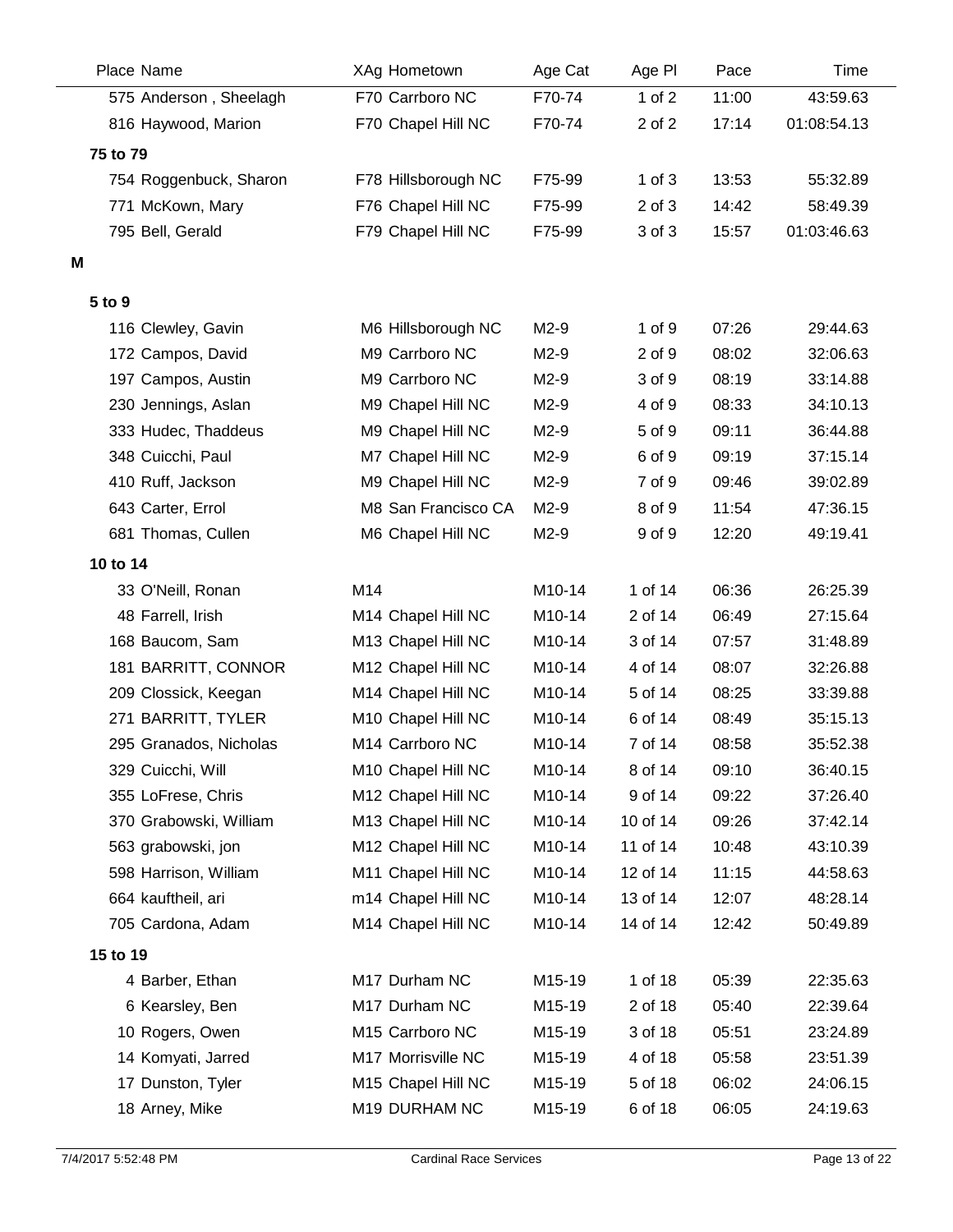|          | Place Name             | XAg Hometown        | Age Cat             | Age PI     | Pace  | Time        |
|----------|------------------------|---------------------|---------------------|------------|-------|-------------|
|          | 575 Anderson, Sheelagh | F70 Carrboro NC     | F70-74              | 1 of $2$   | 11:00 | 43:59.63    |
|          | 816 Haywood, Marion    | F70 Chapel Hill NC  | F70-74              | 2 of 2     | 17:14 | 01:08:54.13 |
| 75 to 79 |                        |                     |                     |            |       |             |
|          | 754 Roggenbuck, Sharon | F78 Hillsborough NC | F75-99              | $1$ of $3$ | 13:53 | 55:32.89    |
|          | 771 McKown, Mary       | F76 Chapel Hill NC  | F75-99              | $2$ of $3$ | 14:42 | 58:49.39    |
|          | 795 Bell, Gerald       | F79 Chapel Hill NC  | F75-99              | 3 of 3     | 15:57 | 01:03:46.63 |
| M        |                        |                     |                     |            |       |             |
|          |                        |                     |                     |            |       |             |
| 5 to 9   |                        |                     |                     |            |       |             |
|          | 116 Clewley, Gavin     | M6 Hillsborough NC  | $M2-9$              | 1 of 9     | 07:26 | 29:44.63    |
|          | 172 Campos, David      | M9 Carrboro NC      | $M2-9$              | 2 of 9     | 08:02 | 32:06.63    |
|          | 197 Campos, Austin     | M9 Carrboro NC      | $M2-9$              | 3 of 9     | 08:19 | 33:14.88    |
|          | 230 Jennings, Aslan    | M9 Chapel Hill NC   | M2-9                | 4 of 9     | 08:33 | 34:10.13    |
|          | 333 Hudec, Thaddeus    | M9 Chapel Hill NC   | $M2-9$              | 5 of 9     | 09:11 | 36:44.88    |
|          | 348 Cuicchi, Paul      | M7 Chapel Hill NC   | M2-9                | 6 of 9     | 09:19 | 37:15.14    |
|          | 410 Ruff, Jackson      | M9 Chapel Hill NC   | $M2-9$              | 7 of 9     | 09:46 | 39:02.89    |
|          | 643 Carter, Errol      | M8 San Francisco CA | $M2-9$              | 8 of 9     | 11:54 | 47:36.15    |
|          | 681 Thomas, Cullen     | M6 Chapel Hill NC   | $M2-9$              | 9 of 9     | 12:20 | 49:19.41    |
| 10 to 14 |                        |                     |                     |            |       |             |
|          | 33 O'Neill, Ronan      | M14                 | M10-14              | 1 of 14    | 06:36 | 26:25.39    |
|          | 48 Farrell, Irish      | M14 Chapel Hill NC  | M10-14              | 2 of 14    | 06:49 | 27:15.64    |
|          | 168 Baucom, Sam        | M13 Chapel Hill NC  | M10-14              | 3 of 14    | 07:57 | 31:48.89    |
|          | 181 BARRITT, CONNOR    | M12 Chapel Hill NC  | M10-14              | 4 of 14    | 08:07 | 32:26.88    |
|          | 209 Clossick, Keegan   | M14 Chapel Hill NC  | M10-14              | 5 of 14    | 08:25 | 33:39.88    |
|          | 271 BARRITT, TYLER     | M10 Chapel Hill NC  | M <sub>10</sub> -14 | 6 of 14    | 08:49 | 35:15.13    |
|          | 295 Granados, Nicholas | M14 Carrboro NC     | M10-14              | 7 of 14    | 08:58 | 35:52.38    |
|          | 329 Cuicchi, Will      | M10 Chapel Hill NC  | M10-14              | 8 of 14    | 09:10 | 36:40.15    |
|          | 355 LoFrese, Chris     | M12 Chapel Hill NC  | M10-14              | 9 of 14    | 09:22 | 37:26.40    |
|          | 370 Grabowski, William | M13 Chapel Hill NC  | M10-14              | 10 of 14   | 09:26 | 37:42.14    |
|          | 563 grabowski, jon     | M12 Chapel Hill NC  | M10-14              | 11 of 14   | 10:48 | 43:10.39    |
|          | 598 Harrison, William  | M11 Chapel Hill NC  | M10-14              | 12 of 14   | 11:15 | 44:58.63    |
|          | 664 kauftheil, ari     | m14 Chapel Hill NC  | M10-14              | 13 of 14   | 12:07 | 48:28.14    |
|          | 705 Cardona, Adam      | M14 Chapel Hill NC  | M10-14              | 14 of 14   | 12:42 | 50:49.89    |
| 15 to 19 |                        |                     |                     |            |       |             |
|          | 4 Barber, Ethan        | M17 Durham NC       | M15-19              | 1 of 18    | 05:39 | 22:35.63    |
|          | 6 Kearsley, Ben        | M17 Durham NC       | M15-19              | 2 of 18    | 05:40 | 22:39.64    |
|          | 10 Rogers, Owen        | M15 Carrboro NC     | M15-19              | 3 of 18    | 05:51 | 23:24.89    |
|          | 14 Komyati, Jarred     | M17 Morrisville NC  | M15-19              | 4 of 18    | 05:58 | 23:51.39    |
|          | 17 Dunston, Tyler      | M15 Chapel Hill NC  | M15-19              | 5 of 18    | 06:02 | 24:06.15    |
|          | 18 Arney, Mike         | M19 DURHAM NC       | M15-19              | 6 of 18    | 06:05 | 24:19.63    |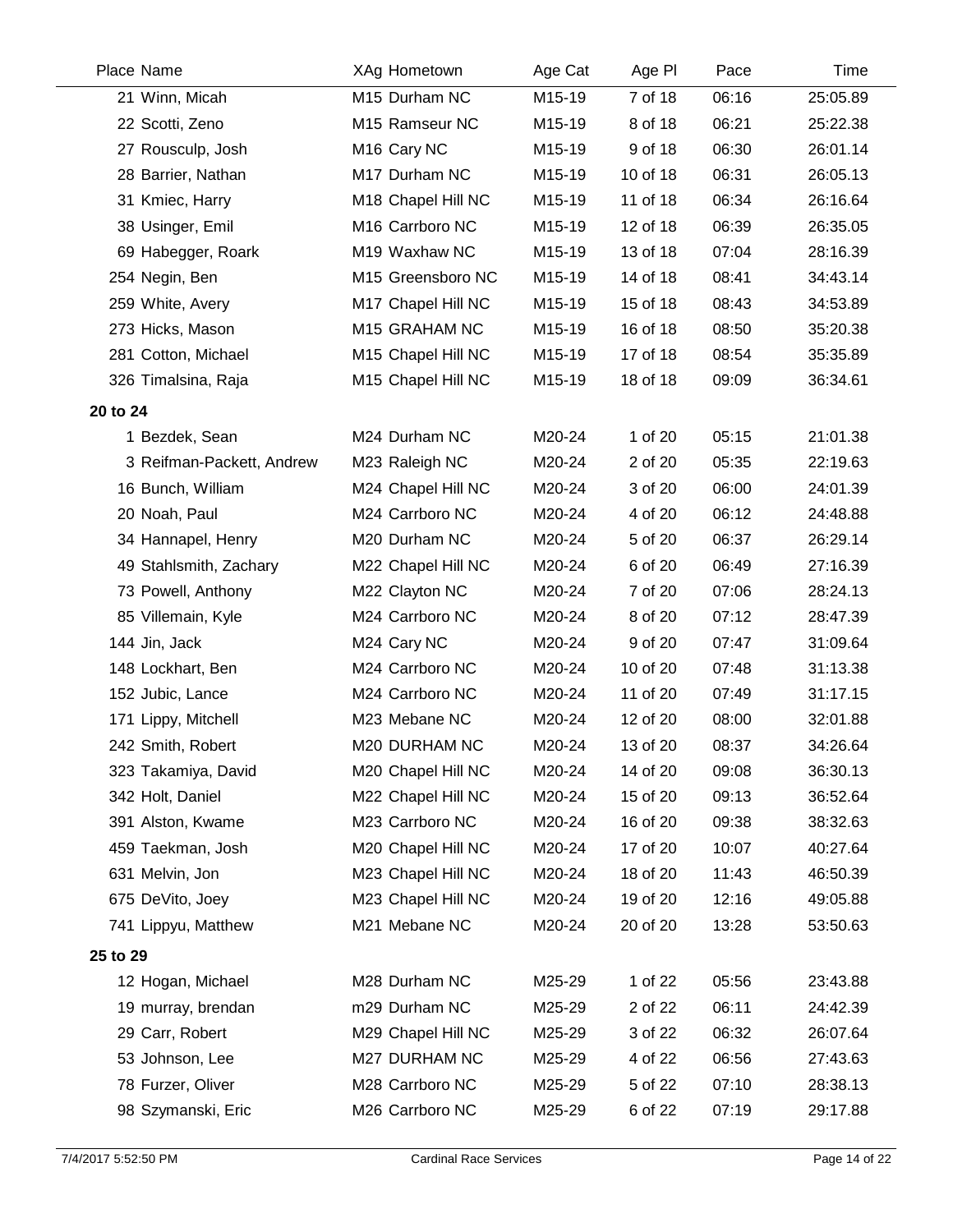| Place Name                | <b>XAg Hometown</b>     | Age Cat | Age PI   | Pace  | Time     |
|---------------------------|-------------------------|---------|----------|-------|----------|
| 21 Winn, Micah            | M15 Durham NC           | M15-19  | 7 of 18  | 06:16 | 25:05.89 |
| 22 Scotti, Zeno           | M15 Ramseur NC          | M15-19  | 8 of 18  | 06:21 | 25:22.38 |
| 27 Rousculp, Josh         | M <sub>16</sub> Cary NC | M15-19  | 9 of 18  | 06:30 | 26:01.14 |
| 28 Barrier, Nathan        | M17 Durham NC           | M15-19  | 10 of 18 | 06:31 | 26:05.13 |
| 31 Kmiec, Harry           | M18 Chapel Hill NC      | M15-19  | 11 of 18 | 06:34 | 26:16.64 |
| 38 Usinger, Emil          | M16 Carrboro NC         | M15-19  | 12 of 18 | 06:39 | 26:35.05 |
| 69 Habegger, Roark        | M19 Waxhaw NC           | M15-19  | 13 of 18 | 07:04 | 28:16.39 |
| 254 Negin, Ben            | M15 Greensboro NC       | M15-19  | 14 of 18 | 08:41 | 34:43.14 |
| 259 White, Avery          | M17 Chapel Hill NC      | M15-19  | 15 of 18 | 08:43 | 34:53.89 |
| 273 Hicks, Mason          | M15 GRAHAM NC           | M15-19  | 16 of 18 | 08:50 | 35:20.38 |
| 281 Cotton, Michael       | M15 Chapel Hill NC      | M15-19  | 17 of 18 | 08:54 | 35:35.89 |
| 326 Timalsina, Raja       | M15 Chapel Hill NC      | M15-19  | 18 of 18 | 09:09 | 36:34.61 |
| 20 to 24                  |                         |         |          |       |          |
| 1 Bezdek, Sean            | M24 Durham NC           | M20-24  | 1 of 20  | 05:15 | 21:01.38 |
| 3 Reifman-Packett, Andrew | M23 Raleigh NC          | M20-24  | 2 of 20  | 05:35 | 22:19.63 |
| 16 Bunch, William         | M24 Chapel Hill NC      | M20-24  | 3 of 20  | 06:00 | 24:01.39 |
| 20 Noah, Paul             | M24 Carrboro NC         | M20-24  | 4 of 20  | 06:12 | 24:48.88 |
| 34 Hannapel, Henry        | M20 Durham NC           | M20-24  | 5 of 20  | 06:37 | 26:29.14 |
| 49 Stahlsmith, Zachary    | M22 Chapel Hill NC      | M20-24  | 6 of 20  | 06:49 | 27:16.39 |
| 73 Powell, Anthony        | M22 Clayton NC          | M20-24  | 7 of 20  | 07:06 | 28:24.13 |
| 85 Villemain, Kyle        | M24 Carrboro NC         | M20-24  | 8 of 20  | 07:12 | 28:47.39 |
| 144 Jin, Jack             | M24 Cary NC             | M20-24  | 9 of 20  | 07:47 | 31:09.64 |
| 148 Lockhart, Ben         | M24 Carrboro NC         | M20-24  | 10 of 20 | 07:48 | 31:13.38 |
| 152 Jubic, Lance          | M24 Carrboro NC         | M20-24  | 11 of 20 | 07:49 | 31:17.15 |
| 171 Lippy, Mitchell       | M23 Mebane NC           | M20-24  | 12 of 20 | 08:00 | 32:01.88 |
| 242 Smith, Robert         | M20 DURHAM NC           | M20-24  | 13 of 20 | 08:37 | 34:26.64 |
| 323 Takamiya, David       | M20 Chapel Hill NC      | M20-24  | 14 of 20 | 09:08 | 36:30.13 |
| 342 Holt, Daniel          | M22 Chapel Hill NC      | M20-24  | 15 of 20 | 09:13 | 36:52.64 |
| 391 Alston, Kwame         | M23 Carrboro NC         | M20-24  | 16 of 20 | 09:38 | 38:32.63 |
| 459 Taekman, Josh         | M20 Chapel Hill NC      | M20-24  | 17 of 20 | 10:07 | 40:27.64 |
| 631 Melvin, Jon           | M23 Chapel Hill NC      | M20-24  | 18 of 20 | 11:43 | 46:50.39 |
| 675 DeVito, Joey          | M23 Chapel Hill NC      | M20-24  | 19 of 20 | 12:16 | 49:05.88 |
| 741 Lippyu, Matthew       | M21 Mebane NC           | M20-24  | 20 of 20 | 13:28 | 53:50.63 |
| 25 to 29                  |                         |         |          |       |          |
| 12 Hogan, Michael         | M28 Durham NC           | M25-29  | 1 of 22  | 05:56 | 23:43.88 |
| 19 murray, brendan        | m29 Durham NC           | M25-29  | 2 of 22  | 06:11 | 24:42.39 |
| 29 Carr, Robert           | M29 Chapel Hill NC      | M25-29  | 3 of 22  | 06:32 | 26:07.64 |
| 53 Johnson, Lee           | M27 DURHAM NC           | M25-29  | 4 of 22  | 06:56 | 27:43.63 |
| 78 Furzer, Oliver         | M28 Carrboro NC         | M25-29  | 5 of 22  | 07:10 | 28:38.13 |
| 98 Szymanski, Eric        | M26 Carrboro NC         | M25-29  | 6 of 22  | 07:19 | 29:17.88 |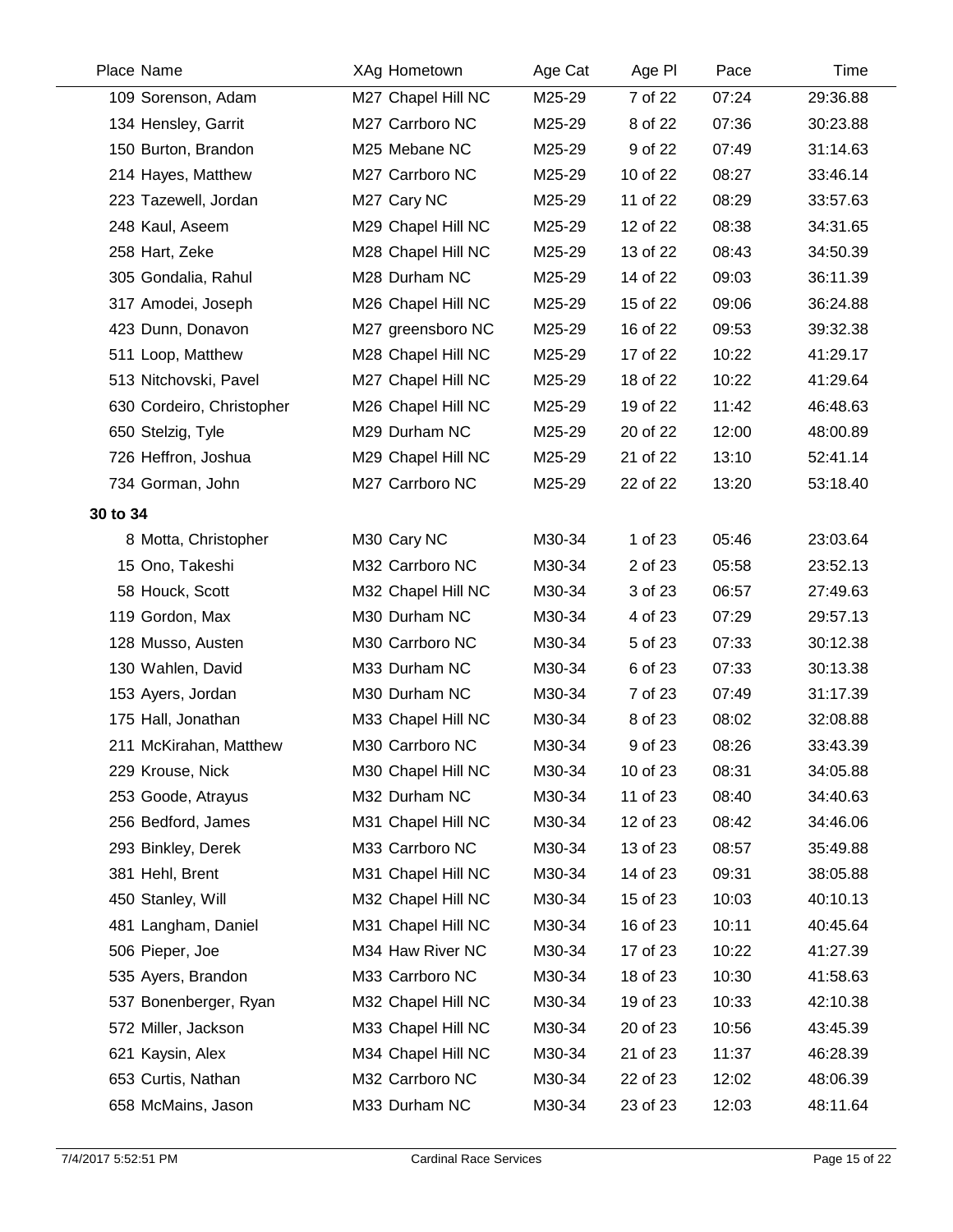| Place Name                | XAg Hometown       | Age Cat | Age PI   | Pace  | Time     |
|---------------------------|--------------------|---------|----------|-------|----------|
| 109 Sorenson, Adam        | M27 Chapel Hill NC | M25-29  | 7 of 22  | 07:24 | 29:36.88 |
| 134 Hensley, Garrit       | M27 Carrboro NC    | M25-29  | 8 of 22  | 07:36 | 30:23.88 |
| 150 Burton, Brandon       | M25 Mebane NC      | M25-29  | 9 of 22  | 07:49 | 31:14.63 |
| 214 Hayes, Matthew        | M27 Carrboro NC    | M25-29  | 10 of 22 | 08:27 | 33:46.14 |
| 223 Tazewell, Jordan      | M27 Cary NC        | M25-29  | 11 of 22 | 08:29 | 33:57.63 |
| 248 Kaul, Aseem           | M29 Chapel Hill NC | M25-29  | 12 of 22 | 08:38 | 34:31.65 |
| 258 Hart, Zeke            | M28 Chapel Hill NC | M25-29  | 13 of 22 | 08:43 | 34:50.39 |
| 305 Gondalia, Rahul       | M28 Durham NC      | M25-29  | 14 of 22 | 09:03 | 36:11.39 |
| 317 Amodei, Joseph        | M26 Chapel Hill NC | M25-29  | 15 of 22 | 09:06 | 36:24.88 |
| 423 Dunn, Donavon         | M27 greensboro NC  | M25-29  | 16 of 22 | 09:53 | 39:32.38 |
| 511 Loop, Matthew         | M28 Chapel Hill NC | M25-29  | 17 of 22 | 10:22 | 41:29.17 |
| 513 Nitchovski, Pavel     | M27 Chapel Hill NC | M25-29  | 18 of 22 | 10:22 | 41:29.64 |
| 630 Cordeiro, Christopher | M26 Chapel Hill NC | M25-29  | 19 of 22 | 11:42 | 46:48.63 |
| 650 Stelzig, Tyle         | M29 Durham NC      | M25-29  | 20 of 22 | 12:00 | 48:00.89 |
| 726 Heffron, Joshua       | M29 Chapel Hill NC | M25-29  | 21 of 22 | 13:10 | 52:41.14 |
| 734 Gorman, John          | M27 Carrboro NC    | M25-29  | 22 of 22 | 13:20 | 53:18.40 |
| 30 to 34                  |                    |         |          |       |          |
| 8 Motta, Christopher      | M30 Cary NC        | M30-34  | 1 of 23  | 05:46 | 23:03.64 |
| 15 Ono, Takeshi           | M32 Carrboro NC    | M30-34  | 2 of 23  | 05:58 | 23:52.13 |
| 58 Houck, Scott           | M32 Chapel Hill NC | M30-34  | 3 of 23  | 06:57 | 27:49.63 |
| 119 Gordon, Max           | M30 Durham NC      | M30-34  | 4 of 23  | 07:29 | 29:57.13 |
| 128 Musso, Austen         | M30 Carrboro NC    | M30-34  | 5 of 23  | 07:33 | 30:12.38 |
| 130 Wahlen, David         | M33 Durham NC      | M30-34  | 6 of 23  | 07:33 | 30:13.38 |
| 153 Ayers, Jordan         | M30 Durham NC      | M30-34  | 7 of 23  | 07:49 | 31:17.39 |
| 175 Hall, Jonathan        | M33 Chapel Hill NC | M30-34  | 8 of 23  | 08:02 | 32:08.88 |
| 211 McKirahan, Matthew    | M30 Carrboro NC    | M30-34  | 9 of 23  | 08:26 | 33:43.39 |
| 229 Krouse, Nick          | M30 Chapel Hill NC | M30-34  | 10 of 23 | 08:31 | 34:05.88 |
| 253 Goode, Atrayus        | M32 Durham NC      | M30-34  | 11 of 23 | 08:40 | 34:40.63 |
| 256 Bedford, James        | M31 Chapel Hill NC | M30-34  | 12 of 23 | 08:42 | 34:46.06 |
| 293 Binkley, Derek        | M33 Carrboro NC    | M30-34  | 13 of 23 | 08:57 | 35:49.88 |
| 381 Hehl, Brent           | M31 Chapel Hill NC | M30-34  | 14 of 23 | 09:31 | 38:05.88 |
| 450 Stanley, Will         | M32 Chapel Hill NC | M30-34  | 15 of 23 | 10:03 | 40:10.13 |
| 481 Langham, Daniel       | M31 Chapel Hill NC | M30-34  | 16 of 23 | 10:11 | 40:45.64 |
| 506 Pieper, Joe           | M34 Haw River NC   | M30-34  | 17 of 23 | 10:22 | 41:27.39 |
| 535 Ayers, Brandon        | M33 Carrboro NC    | M30-34  | 18 of 23 | 10:30 | 41:58.63 |
| 537 Bonenberger, Ryan     | M32 Chapel Hill NC | M30-34  | 19 of 23 | 10:33 | 42:10.38 |
| 572 Miller, Jackson       | M33 Chapel Hill NC | M30-34  | 20 of 23 | 10:56 | 43:45.39 |
| 621 Kaysin, Alex          | M34 Chapel Hill NC | M30-34  | 21 of 23 | 11:37 | 46:28.39 |
| 653 Curtis, Nathan        | M32 Carrboro NC    | M30-34  | 22 of 23 | 12:02 | 48:06.39 |
| 658 McMains, Jason        | M33 Durham NC      | M30-34  | 23 of 23 | 12:03 | 48:11.64 |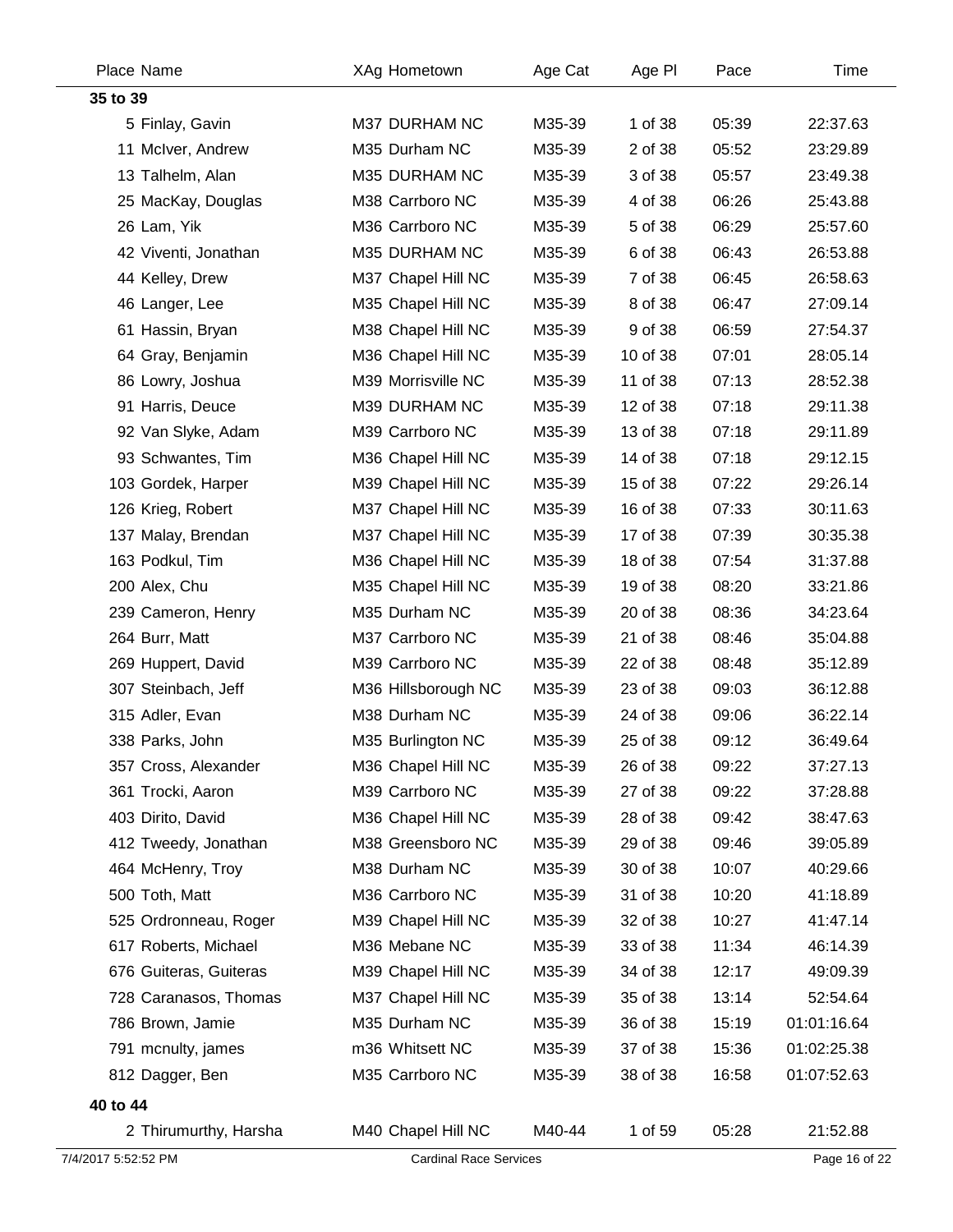| Place Name             | XAg Hometown                  | Age Cat | Age PI   | Pace  | Time          |
|------------------------|-------------------------------|---------|----------|-------|---------------|
| 35 to 39               |                               |         |          |       |               |
| 5 Finlay, Gavin        | M37 DURHAM NC                 | M35-39  | 1 of 38  | 05:39 | 22:37.63      |
| 11 McIver, Andrew      | M35 Durham NC                 | M35-39  | 2 of 38  | 05:52 | 23:29.89      |
| 13 Talhelm, Alan       | M35 DURHAM NC                 | M35-39  | 3 of 38  | 05:57 | 23:49.38      |
| 25 MacKay, Douglas     | M38 Carrboro NC               | M35-39  | 4 of 38  | 06:26 | 25:43.88      |
| 26 Lam, Yik            | M36 Carrboro NC               | M35-39  | 5 of 38  | 06:29 | 25:57.60      |
| 42 Viventi, Jonathan   | M35 DURHAM NC                 | M35-39  | 6 of 38  | 06:43 | 26:53.88      |
| 44 Kelley, Drew        | M37 Chapel Hill NC            | M35-39  | 7 of 38  | 06:45 | 26:58.63      |
| 46 Langer, Lee         | M35 Chapel Hill NC            | M35-39  | 8 of 38  | 06:47 | 27:09.14      |
| 61 Hassin, Bryan       | M38 Chapel Hill NC            | M35-39  | 9 of 38  | 06:59 | 27:54.37      |
| 64 Gray, Benjamin      | M36 Chapel Hill NC            | M35-39  | 10 of 38 | 07:01 | 28:05.14      |
| 86 Lowry, Joshua       | M39 Morrisville NC            | M35-39  | 11 of 38 | 07:13 | 28:52.38      |
| 91 Harris, Deuce       | M39 DURHAM NC                 | M35-39  | 12 of 38 | 07:18 | 29:11.38      |
| 92 Van Slyke, Adam     | M39 Carrboro NC               | M35-39  | 13 of 38 | 07:18 | 29:11.89      |
| 93 Schwantes, Tim      | M36 Chapel Hill NC            | M35-39  | 14 of 38 | 07:18 | 29:12.15      |
| 103 Gordek, Harper     | M39 Chapel Hill NC            | M35-39  | 15 of 38 | 07:22 | 29:26.14      |
| 126 Krieg, Robert      | M37 Chapel Hill NC            | M35-39  | 16 of 38 | 07:33 | 30:11.63      |
| 137 Malay, Brendan     | M37 Chapel Hill NC            | M35-39  | 17 of 38 | 07:39 | 30:35.38      |
| 163 Podkul, Tim        | M36 Chapel Hill NC            | M35-39  | 18 of 38 | 07:54 | 31:37.88      |
| 200 Alex, Chu          | M35 Chapel Hill NC            | M35-39  | 19 of 38 | 08:20 | 33:21.86      |
| 239 Cameron, Henry     | M35 Durham NC                 | M35-39  | 20 of 38 | 08:36 | 34:23.64      |
| 264 Burr, Matt         | M37 Carrboro NC               | M35-39  | 21 of 38 | 08:46 | 35:04.88      |
| 269 Huppert, David     | M39 Carrboro NC               | M35-39  | 22 of 38 | 08:48 | 35:12.89      |
| 307 Steinbach, Jeff    | M36 Hillsborough NC           | M35-39  | 23 of 38 | 09:03 | 36:12.88      |
| 315 Adler, Evan        | M38 Durham NC                 | M35-39  | 24 of 38 | 09:06 | 36:22.14      |
| 338 Parks, John        | M35 Burlington NC             | M35-39  | 25 of 38 | 09:12 | 36:49.64      |
| 357 Cross, Alexander   | M36 Chapel Hill NC            | M35-39  | 26 of 38 | 09:22 | 37:27.13      |
| 361 Trocki, Aaron      | M39 Carrboro NC               | M35-39  | 27 of 38 | 09:22 | 37:28.88      |
| 403 Dirito, David      | M36 Chapel Hill NC            | M35-39  | 28 of 38 | 09:42 | 38:47.63      |
| 412 Tweedy, Jonathan   | M38 Greensboro NC             | M35-39  | 29 of 38 | 09:46 | 39:05.89      |
| 464 McHenry, Troy      | M38 Durham NC                 | M35-39  | 30 of 38 | 10:07 | 40:29.66      |
| 500 Toth, Matt         | M36 Carrboro NC               | M35-39  | 31 of 38 | 10:20 | 41:18.89      |
| 525 Ordronneau, Roger  | M39 Chapel Hill NC            | M35-39  | 32 of 38 | 10:27 | 41:47.14      |
| 617 Roberts, Michael   | M36 Mebane NC                 | M35-39  | 33 of 38 | 11:34 | 46:14.39      |
| 676 Guiteras, Guiteras | M39 Chapel Hill NC            | M35-39  | 34 of 38 | 12:17 | 49:09.39      |
| 728 Caranasos, Thomas  | M37 Chapel Hill NC            | M35-39  | 35 of 38 | 13:14 | 52:54.64      |
| 786 Brown, Jamie       | M35 Durham NC                 | M35-39  | 36 of 38 | 15:19 | 01:01:16.64   |
| 791 mcnulty, james     | m36 Whitsett NC               | M35-39  | 37 of 38 | 15:36 | 01:02:25.38   |
| 812 Dagger, Ben        | M35 Carrboro NC               | M35-39  | 38 of 38 | 16:58 | 01:07:52.63   |
| 40 to 44               |                               |         |          |       |               |
| 2 Thirumurthy, Harsha  | M40 Chapel Hill NC            | M40-44  | 1 of 59  | 05:28 | 21:52.88      |
| 7/4/2017 5:52:52 PM    | <b>Cardinal Race Services</b> |         |          |       | Page 16 of 22 |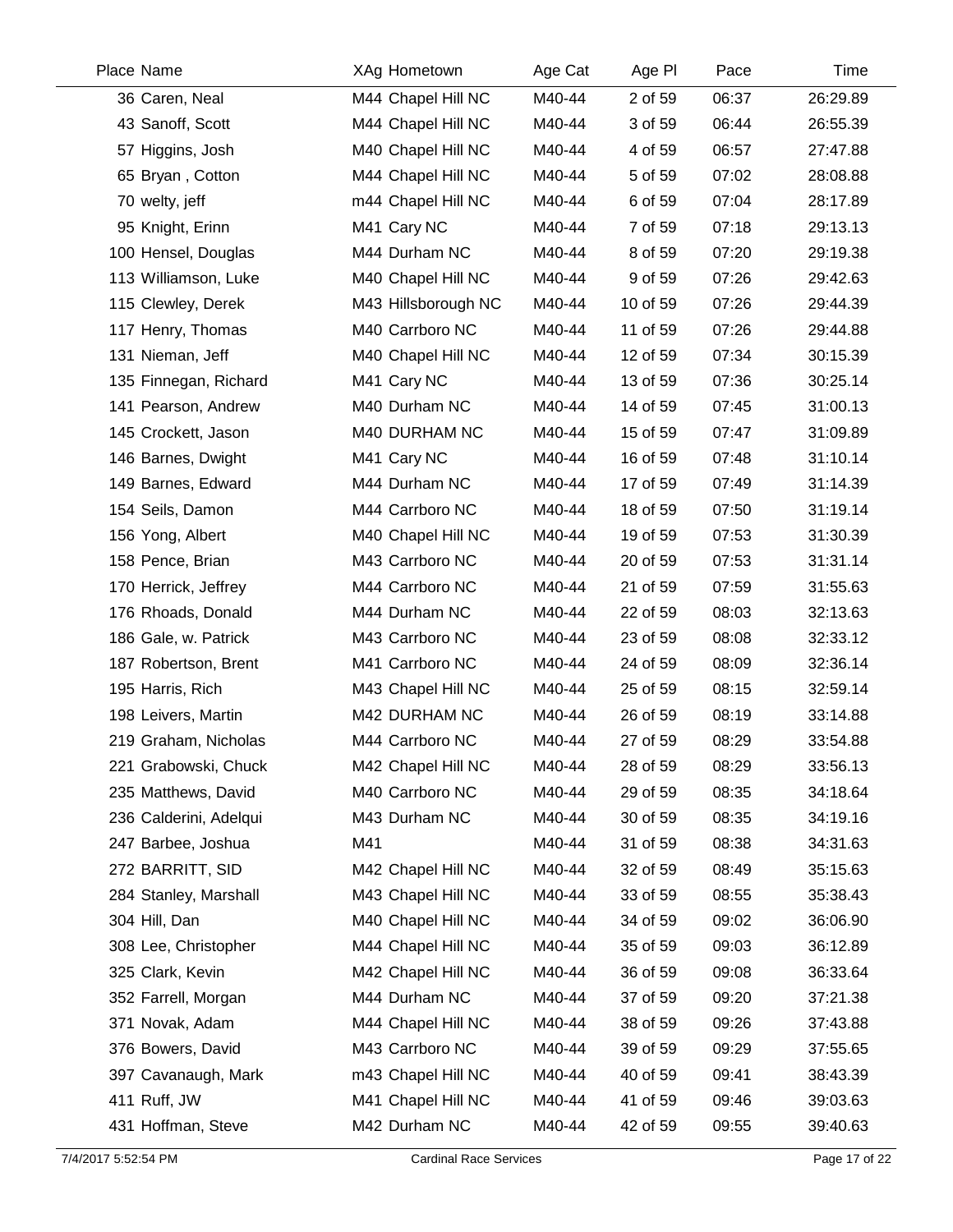| Place Name             | XAg Hometown        | Age Cat | Age PI   | Pace  | Time     |
|------------------------|---------------------|---------|----------|-------|----------|
| 36 Caren, Neal         | M44 Chapel Hill NC  | M40-44  | 2 of 59  | 06:37 | 26:29.89 |
| 43 Sanoff, Scott       | M44 Chapel Hill NC  | M40-44  | 3 of 59  | 06:44 | 26:55.39 |
| 57 Higgins, Josh       | M40 Chapel Hill NC  | M40-44  | 4 of 59  | 06:57 | 27:47.88 |
| 65 Bryan, Cotton       | M44 Chapel Hill NC  | M40-44  | 5 of 59  | 07:02 | 28:08.88 |
| 70 welty, jeff         | m44 Chapel Hill NC  | M40-44  | 6 of 59  | 07:04 | 28:17.89 |
| 95 Knight, Erinn       | M41 Cary NC         | M40-44  | 7 of 59  | 07:18 | 29:13.13 |
| 100 Hensel, Douglas    | M44 Durham NC       | M40-44  | 8 of 59  | 07:20 | 29:19.38 |
| 113 Williamson, Luke   | M40 Chapel Hill NC  | M40-44  | 9 of 59  | 07:26 | 29:42.63 |
| 115 Clewley, Derek     | M43 Hillsborough NC | M40-44  | 10 of 59 | 07:26 | 29:44.39 |
| 117 Henry, Thomas      | M40 Carrboro NC     | M40-44  | 11 of 59 | 07:26 | 29:44.88 |
| 131 Nieman, Jeff       | M40 Chapel Hill NC  | M40-44  | 12 of 59 | 07:34 | 30:15.39 |
| 135 Finnegan, Richard  | M41 Cary NC         | M40-44  | 13 of 59 | 07:36 | 30:25.14 |
| 141 Pearson, Andrew    | M40 Durham NC       | M40-44  | 14 of 59 | 07:45 | 31:00.13 |
| 145 Crockett, Jason    | M40 DURHAM NC       | M40-44  | 15 of 59 | 07:47 | 31:09.89 |
| 146 Barnes, Dwight     | M41 Cary NC         | M40-44  | 16 of 59 | 07:48 | 31:10.14 |
| 149 Barnes, Edward     | M44 Durham NC       | M40-44  | 17 of 59 | 07:49 | 31:14.39 |
| 154 Seils, Damon       | M44 Carrboro NC     | M40-44  | 18 of 59 | 07:50 | 31:19.14 |
| 156 Yong, Albert       | M40 Chapel Hill NC  | M40-44  | 19 of 59 | 07:53 | 31:30.39 |
| 158 Pence, Brian       | M43 Carrboro NC     | M40-44  | 20 of 59 | 07:53 | 31:31.14 |
| 170 Herrick, Jeffrey   | M44 Carrboro NC     | M40-44  | 21 of 59 | 07:59 | 31:55.63 |
| 176 Rhoads, Donald     | M44 Durham NC       | M40-44  | 22 of 59 | 08:03 | 32:13.63 |
| 186 Gale, w. Patrick   | M43 Carrboro NC     | M40-44  | 23 of 59 | 08:08 | 32:33.12 |
| 187 Robertson, Brent   | M41 Carrboro NC     | M40-44  | 24 of 59 | 08:09 | 32:36.14 |
| 195 Harris, Rich       | M43 Chapel Hill NC  | M40-44  | 25 of 59 | 08:15 | 32:59.14 |
| 198 Leivers, Martin    | M42 DURHAM NC       | M40-44  | 26 of 59 | 08:19 | 33:14.88 |
| 219 Graham, Nicholas   | M44 Carrboro NC     | M40-44  | 27 of 59 | 08:29 | 33:54.88 |
| 221 Grabowski, Chuck   | M42 Chapel Hill NC  | M40-44  | 28 of 59 | 08:29 | 33:56.13 |
| 235 Matthews, David    | M40 Carrboro NC     | M40-44  | 29 of 59 | 08:35 | 34:18.64 |
| 236 Calderini, Adelqui | M43 Durham NC       | M40-44  | 30 of 59 | 08:35 | 34:19.16 |
| 247 Barbee, Joshua     | M41                 | M40-44  | 31 of 59 | 08:38 | 34:31.63 |
| 272 BARRITT, SID       | M42 Chapel Hill NC  | M40-44  | 32 of 59 | 08:49 | 35:15.63 |
| 284 Stanley, Marshall  | M43 Chapel Hill NC  | M40-44  | 33 of 59 | 08:55 | 35:38.43 |
| 304 Hill, Dan          | M40 Chapel Hill NC  | M40-44  | 34 of 59 | 09:02 | 36:06.90 |
| 308 Lee, Christopher   | M44 Chapel Hill NC  | M40-44  | 35 of 59 | 09:03 | 36:12.89 |
| 325 Clark, Kevin       | M42 Chapel Hill NC  | M40-44  | 36 of 59 | 09:08 | 36:33.64 |
| 352 Farrell, Morgan    | M44 Durham NC       | M40-44  | 37 of 59 | 09:20 | 37:21.38 |
| 371 Novak, Adam        | M44 Chapel Hill NC  | M40-44  | 38 of 59 | 09:26 | 37:43.88 |
| 376 Bowers, David      | M43 Carrboro NC     | M40-44  | 39 of 59 | 09:29 | 37:55.65 |
| 397 Cavanaugh, Mark    | m43 Chapel Hill NC  | M40-44  | 40 of 59 | 09:41 | 38:43.39 |
| 411 Ruff, JW           | M41 Chapel Hill NC  | M40-44  | 41 of 59 | 09:46 | 39:03.63 |
| 431 Hoffman, Steve     | M42 Durham NC       | M40-44  | 42 of 59 | 09:55 | 39:40.63 |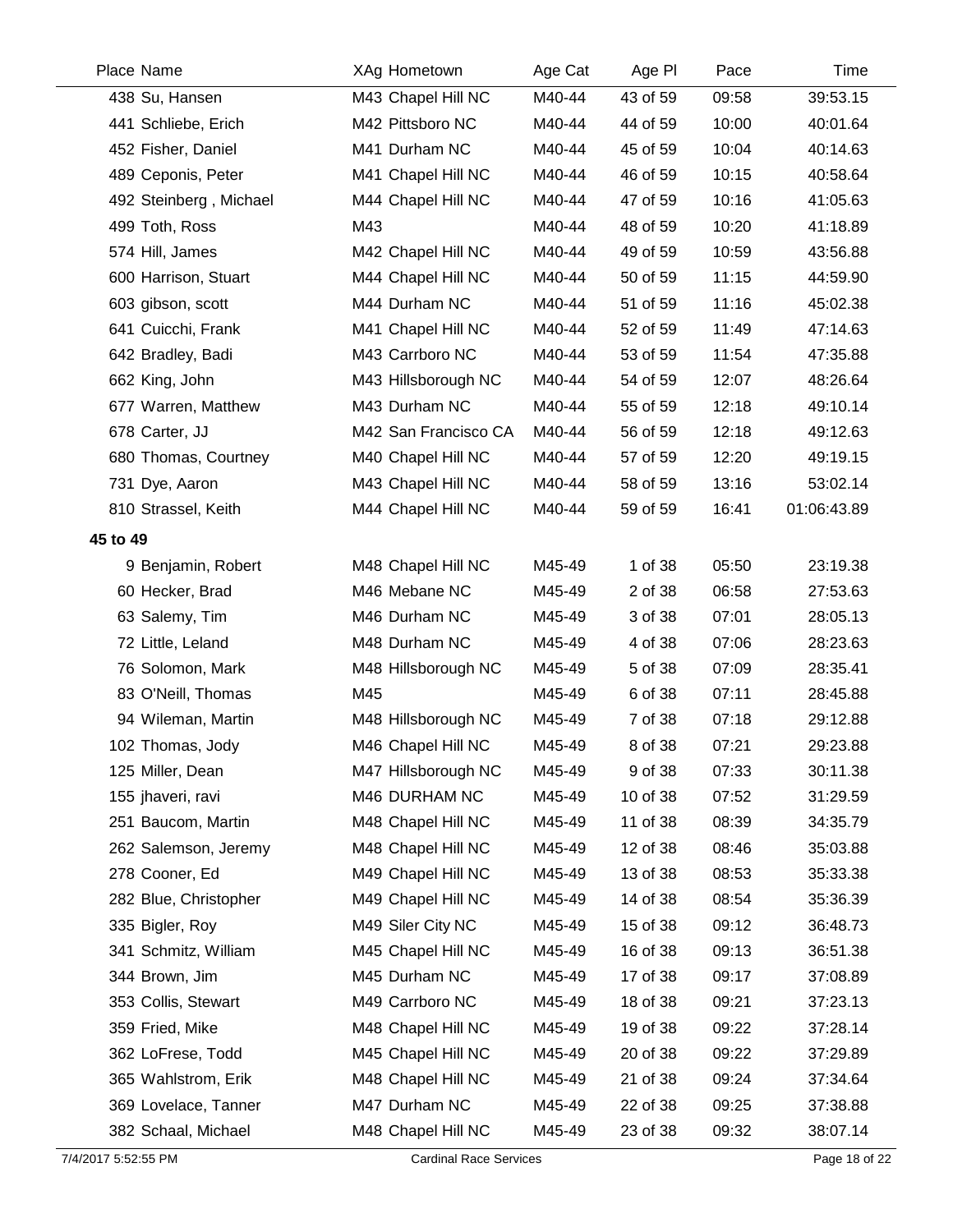| Place Name |                        | XAg Hometown         | Age Cat | Age PI   | Pace  | Time        |
|------------|------------------------|----------------------|---------|----------|-------|-------------|
|            | 438 Su, Hansen         | M43 Chapel Hill NC   | M40-44  | 43 of 59 | 09:58 | 39:53.15    |
|            | 441 Schliebe, Erich    | M42 Pittsboro NC     | M40-44  | 44 of 59 | 10:00 | 40:01.64    |
|            | 452 Fisher, Daniel     | M41 Durham NC        | M40-44  | 45 of 59 | 10:04 | 40:14.63    |
|            | 489 Ceponis, Peter     | M41 Chapel Hill NC   | M40-44  | 46 of 59 | 10:15 | 40:58.64    |
|            | 492 Steinberg, Michael | M44 Chapel Hill NC   | M40-44  | 47 of 59 | 10:16 | 41:05.63    |
|            | 499 Toth, Ross         | M43                  | M40-44  | 48 of 59 | 10:20 | 41:18.89    |
|            | 574 Hill, James        | M42 Chapel Hill NC   | M40-44  | 49 of 59 | 10:59 | 43:56.88    |
|            | 600 Harrison, Stuart   | M44 Chapel Hill NC   | M40-44  | 50 of 59 | 11:15 | 44:59.90    |
|            | 603 gibson, scott      | M44 Durham NC        | M40-44  | 51 of 59 | 11:16 | 45:02.38    |
|            | 641 Cuicchi, Frank     | M41 Chapel Hill NC   | M40-44  | 52 of 59 | 11:49 | 47:14.63    |
|            | 642 Bradley, Badi      | M43 Carrboro NC      | M40-44  | 53 of 59 | 11:54 | 47:35.88    |
|            | 662 King, John         | M43 Hillsborough NC  | M40-44  | 54 of 59 | 12:07 | 48:26.64    |
|            | 677 Warren, Matthew    | M43 Durham NC        | M40-44  | 55 of 59 | 12:18 | 49:10.14    |
|            | 678 Carter, JJ         | M42 San Francisco CA | M40-44  | 56 of 59 | 12:18 | 49:12.63    |
|            | 680 Thomas, Courtney   | M40 Chapel Hill NC   | M40-44  | 57 of 59 | 12:20 | 49:19.15    |
|            | 731 Dye, Aaron         | M43 Chapel Hill NC   | M40-44  | 58 of 59 | 13:16 | 53:02.14    |
|            | 810 Strassel, Keith    | M44 Chapel Hill NC   | M40-44  | 59 of 59 | 16:41 | 01:06:43.89 |
| 45 to 49   |                        |                      |         |          |       |             |
|            | 9 Benjamin, Robert     | M48 Chapel Hill NC   | M45-49  | 1 of 38  | 05:50 | 23:19.38    |
|            | 60 Hecker, Brad        | M46 Mebane NC        | M45-49  | 2 of 38  | 06:58 | 27:53.63    |
|            | 63 Salemy, Tim         | M46 Durham NC        | M45-49  | 3 of 38  | 07:01 | 28:05.13    |
|            | 72 Little, Leland      | M48 Durham NC        | M45-49  | 4 of 38  | 07:06 | 28:23.63    |
|            | 76 Solomon, Mark       | M48 Hillsborough NC  | M45-49  | 5 of 38  | 07:09 | 28:35.41    |
|            | 83 O'Neill, Thomas     | M45                  | M45-49  | 6 of 38  | 07:11 | 28:45.88    |
|            | 94 Wileman, Martin     | M48 Hillsborough NC  | M45-49  | 7 of 38  | 07:18 | 29:12.88    |
|            | 102 Thomas, Jody       | M46 Chapel Hill NC   | M45-49  | 8 of 38  | 07:21 | 29:23.88    |
|            | 125 Miller, Dean       | M47 Hillsborough NC  | M45-49  | 9 of 38  | 07:33 | 30:11.38    |
|            | 155 jhaveri, ravi      | M46 DURHAM NC        | M45-49  | 10 of 38 | 07:52 | 31:29.59    |
|            | 251 Baucom, Martin     | M48 Chapel Hill NC   | M45-49  | 11 of 38 | 08:39 | 34:35.79    |
|            | 262 Salemson, Jeremy   | M48 Chapel Hill NC   | M45-49  | 12 of 38 | 08:46 | 35:03.88    |
|            | 278 Cooner, Ed         | M49 Chapel Hill NC   | M45-49  | 13 of 38 | 08:53 | 35:33.38    |
|            | 282 Blue, Christopher  | M49 Chapel Hill NC   | M45-49  | 14 of 38 | 08:54 | 35:36.39    |
|            | 335 Bigler, Roy        | M49 Siler City NC    | M45-49  | 15 of 38 | 09:12 | 36:48.73    |
|            | 341 Schmitz, William   | M45 Chapel Hill NC   | M45-49  | 16 of 38 | 09:13 | 36:51.38    |
|            | 344 Brown, Jim         | M45 Durham NC        | M45-49  | 17 of 38 | 09:17 | 37:08.89    |
|            | 353 Collis, Stewart    | M49 Carrboro NC      | M45-49  | 18 of 38 | 09:21 | 37:23.13    |
|            | 359 Fried, Mike        | M48 Chapel Hill NC   | M45-49  | 19 of 38 | 09:22 | 37:28.14    |
|            | 362 LoFrese, Todd      | M45 Chapel Hill NC   | M45-49  | 20 of 38 | 09:22 | 37:29.89    |
|            | 365 Wahlstrom, Erik    | M48 Chapel Hill NC   | M45-49  | 21 of 38 | 09:24 | 37:34.64    |
|            | 369 Lovelace, Tanner   | M47 Durham NC        | M45-49  | 22 of 38 | 09:25 | 37:38.88    |
|            | 382 Schaal, Michael    | M48 Chapel Hill NC   | M45-49  | 23 of 38 | 09:32 | 38:07.14    |
|            |                        |                      |         |          |       |             |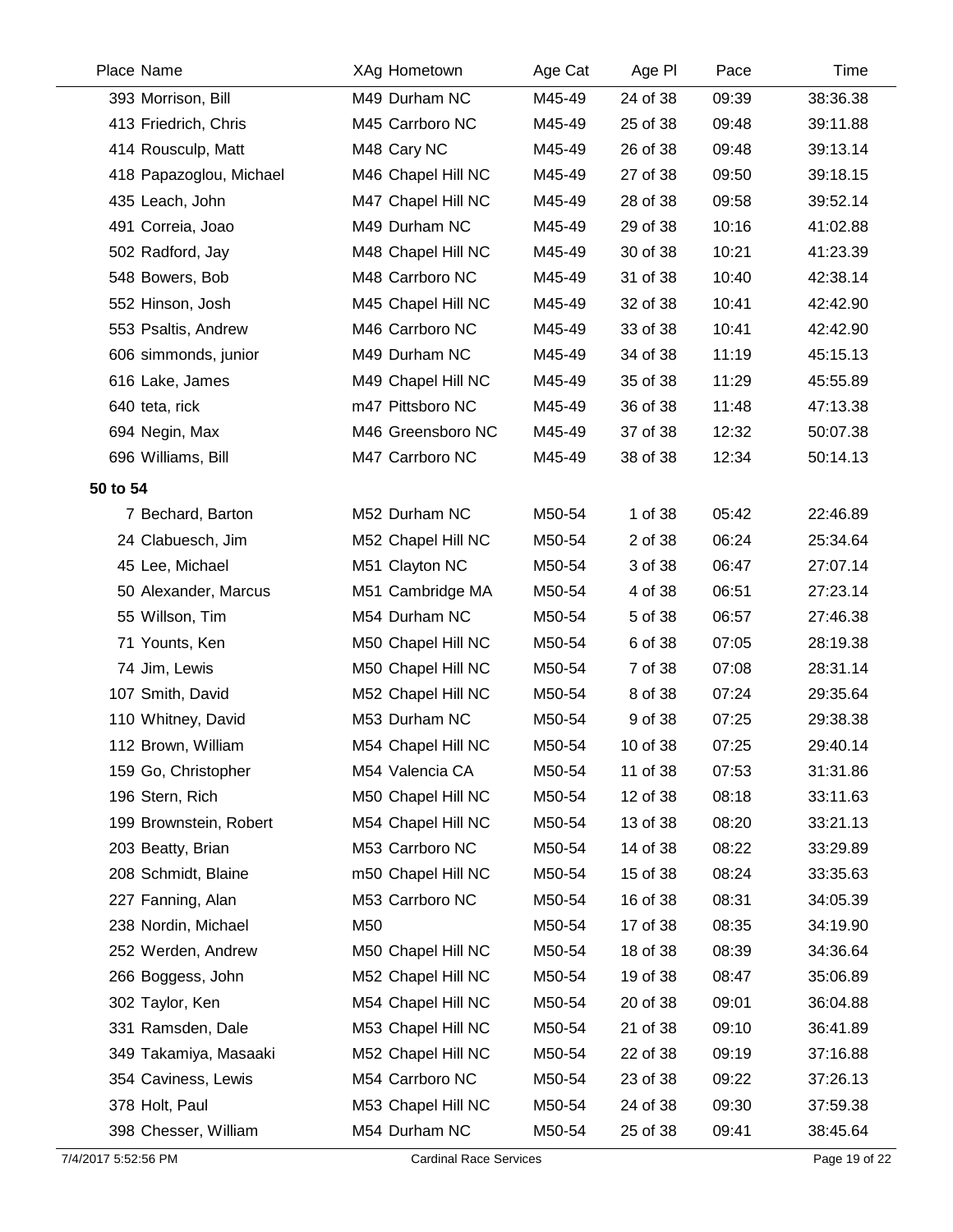|                                                                                                                                                                                                                                                                                                                                                                                                                                                                                                                     | Age Cat                                                                                                                                                                                                                                                                                                                                                                                                                                                                                                                                                                                                                                                                                                                                                                                                                            | Age PI                                                                                                                                   | Pace                                                                                                                                                                                                                                         | Time                                                                                                                                                                                                                                                                                                                                                                 |
|---------------------------------------------------------------------------------------------------------------------------------------------------------------------------------------------------------------------------------------------------------------------------------------------------------------------------------------------------------------------------------------------------------------------------------------------------------------------------------------------------------------------|------------------------------------------------------------------------------------------------------------------------------------------------------------------------------------------------------------------------------------------------------------------------------------------------------------------------------------------------------------------------------------------------------------------------------------------------------------------------------------------------------------------------------------------------------------------------------------------------------------------------------------------------------------------------------------------------------------------------------------------------------------------------------------------------------------------------------------|------------------------------------------------------------------------------------------------------------------------------------------|----------------------------------------------------------------------------------------------------------------------------------------------------------------------------------------------------------------------------------------------|----------------------------------------------------------------------------------------------------------------------------------------------------------------------------------------------------------------------------------------------------------------------------------------------------------------------------------------------------------------------|
|                                                                                                                                                                                                                                                                                                                                                                                                                                                                                                                     | M45-49                                                                                                                                                                                                                                                                                                                                                                                                                                                                                                                                                                                                                                                                                                                                                                                                                             |                                                                                                                                          |                                                                                                                                                                                                                                              | 38:36.38                                                                                                                                                                                                                                                                                                                                                             |
|                                                                                                                                                                                                                                                                                                                                                                                                                                                                                                                     |                                                                                                                                                                                                                                                                                                                                                                                                                                                                                                                                                                                                                                                                                                                                                                                                                                    |                                                                                                                                          |                                                                                                                                                                                                                                              | 39:11.88                                                                                                                                                                                                                                                                                                                                                             |
|                                                                                                                                                                                                                                                                                                                                                                                                                                                                                                                     | M45-49                                                                                                                                                                                                                                                                                                                                                                                                                                                                                                                                                                                                                                                                                                                                                                                                                             |                                                                                                                                          |                                                                                                                                                                                                                                              | 39:13.14                                                                                                                                                                                                                                                                                                                                                             |
|                                                                                                                                                                                                                                                                                                                                                                                                                                                                                                                     | M45-49                                                                                                                                                                                                                                                                                                                                                                                                                                                                                                                                                                                                                                                                                                                                                                                                                             |                                                                                                                                          |                                                                                                                                                                                                                                              | 39:18.15                                                                                                                                                                                                                                                                                                                                                             |
|                                                                                                                                                                                                                                                                                                                                                                                                                                                                                                                     |                                                                                                                                                                                                                                                                                                                                                                                                                                                                                                                                                                                                                                                                                                                                                                                                                                    |                                                                                                                                          |                                                                                                                                                                                                                                              | 39:52.14                                                                                                                                                                                                                                                                                                                                                             |
|                                                                                                                                                                                                                                                                                                                                                                                                                                                                                                                     |                                                                                                                                                                                                                                                                                                                                                                                                                                                                                                                                                                                                                                                                                                                                                                                                                                    |                                                                                                                                          |                                                                                                                                                                                                                                              | 41:02.88                                                                                                                                                                                                                                                                                                                                                             |
|                                                                                                                                                                                                                                                                                                                                                                                                                                                                                                                     |                                                                                                                                                                                                                                                                                                                                                                                                                                                                                                                                                                                                                                                                                                                                                                                                                                    | 30 of 38                                                                                                                                 |                                                                                                                                                                                                                                              | 41:23.39                                                                                                                                                                                                                                                                                                                                                             |
|                                                                                                                                                                                                                                                                                                                                                                                                                                                                                                                     |                                                                                                                                                                                                                                                                                                                                                                                                                                                                                                                                                                                                                                                                                                                                                                                                                                    |                                                                                                                                          |                                                                                                                                                                                                                                              | 42:38.14                                                                                                                                                                                                                                                                                                                                                             |
|                                                                                                                                                                                                                                                                                                                                                                                                                                                                                                                     |                                                                                                                                                                                                                                                                                                                                                                                                                                                                                                                                                                                                                                                                                                                                                                                                                                    |                                                                                                                                          |                                                                                                                                                                                                                                              | 42:42.90                                                                                                                                                                                                                                                                                                                                                             |
|                                                                                                                                                                                                                                                                                                                                                                                                                                                                                                                     |                                                                                                                                                                                                                                                                                                                                                                                                                                                                                                                                                                                                                                                                                                                                                                                                                                    |                                                                                                                                          |                                                                                                                                                                                                                                              | 42:42.90                                                                                                                                                                                                                                                                                                                                                             |
|                                                                                                                                                                                                                                                                                                                                                                                                                                                                                                                     |                                                                                                                                                                                                                                                                                                                                                                                                                                                                                                                                                                                                                                                                                                                                                                                                                                    |                                                                                                                                          |                                                                                                                                                                                                                                              | 45:15.13                                                                                                                                                                                                                                                                                                                                                             |
|                                                                                                                                                                                                                                                                                                                                                                                                                                                                                                                     |                                                                                                                                                                                                                                                                                                                                                                                                                                                                                                                                                                                                                                                                                                                                                                                                                                    |                                                                                                                                          |                                                                                                                                                                                                                                              | 45:55.89                                                                                                                                                                                                                                                                                                                                                             |
|                                                                                                                                                                                                                                                                                                                                                                                                                                                                                                                     |                                                                                                                                                                                                                                                                                                                                                                                                                                                                                                                                                                                                                                                                                                                                                                                                                                    |                                                                                                                                          |                                                                                                                                                                                                                                              | 47:13.38                                                                                                                                                                                                                                                                                                                                                             |
|                                                                                                                                                                                                                                                                                                                                                                                                                                                                                                                     |                                                                                                                                                                                                                                                                                                                                                                                                                                                                                                                                                                                                                                                                                                                                                                                                                                    |                                                                                                                                          |                                                                                                                                                                                                                                              | 50:07.38                                                                                                                                                                                                                                                                                                                                                             |
|                                                                                                                                                                                                                                                                                                                                                                                                                                                                                                                     | M45-49                                                                                                                                                                                                                                                                                                                                                                                                                                                                                                                                                                                                                                                                                                                                                                                                                             |                                                                                                                                          |                                                                                                                                                                                                                                              | 50:14.13                                                                                                                                                                                                                                                                                                                                                             |
|                                                                                                                                                                                                                                                                                                                                                                                                                                                                                                                     |                                                                                                                                                                                                                                                                                                                                                                                                                                                                                                                                                                                                                                                                                                                                                                                                                                    |                                                                                                                                          |                                                                                                                                                                                                                                              |                                                                                                                                                                                                                                                                                                                                                                      |
|                                                                                                                                                                                                                                                                                                                                                                                                                                                                                                                     |                                                                                                                                                                                                                                                                                                                                                                                                                                                                                                                                                                                                                                                                                                                                                                                                                                    | 1 of 38                                                                                                                                  |                                                                                                                                                                                                                                              | 22:46.89                                                                                                                                                                                                                                                                                                                                                             |
|                                                                                                                                                                                                                                                                                                                                                                                                                                                                                                                     | M50-54                                                                                                                                                                                                                                                                                                                                                                                                                                                                                                                                                                                                                                                                                                                                                                                                                             | 2 of 38                                                                                                                                  |                                                                                                                                                                                                                                              | 25:34.64                                                                                                                                                                                                                                                                                                                                                             |
|                                                                                                                                                                                                                                                                                                                                                                                                                                                                                                                     |                                                                                                                                                                                                                                                                                                                                                                                                                                                                                                                                                                                                                                                                                                                                                                                                                                    | 3 of 38                                                                                                                                  |                                                                                                                                                                                                                                              | 27:07.14                                                                                                                                                                                                                                                                                                                                                             |
|                                                                                                                                                                                                                                                                                                                                                                                                                                                                                                                     | M50-54                                                                                                                                                                                                                                                                                                                                                                                                                                                                                                                                                                                                                                                                                                                                                                                                                             | 4 of 38                                                                                                                                  |                                                                                                                                                                                                                                              | 27:23.14                                                                                                                                                                                                                                                                                                                                                             |
|                                                                                                                                                                                                                                                                                                                                                                                                                                                                                                                     | M50-54                                                                                                                                                                                                                                                                                                                                                                                                                                                                                                                                                                                                                                                                                                                                                                                                                             | 5 of 38                                                                                                                                  |                                                                                                                                                                                                                                              | 27:46.38                                                                                                                                                                                                                                                                                                                                                             |
|                                                                                                                                                                                                                                                                                                                                                                                                                                                                                                                     | M50-54                                                                                                                                                                                                                                                                                                                                                                                                                                                                                                                                                                                                                                                                                                                                                                                                                             | 6 of 38                                                                                                                                  |                                                                                                                                                                                                                                              | 28:19.38                                                                                                                                                                                                                                                                                                                                                             |
|                                                                                                                                                                                                                                                                                                                                                                                                                                                                                                                     | M50-54                                                                                                                                                                                                                                                                                                                                                                                                                                                                                                                                                                                                                                                                                                                                                                                                                             | 7 of 38                                                                                                                                  |                                                                                                                                                                                                                                              | 28:31.14                                                                                                                                                                                                                                                                                                                                                             |
|                                                                                                                                                                                                                                                                                                                                                                                                                                                                                                                     | M50-54                                                                                                                                                                                                                                                                                                                                                                                                                                                                                                                                                                                                                                                                                                                                                                                                                             | 8 of 38                                                                                                                                  |                                                                                                                                                                                                                                              | 29:35.64                                                                                                                                                                                                                                                                                                                                                             |
|                                                                                                                                                                                                                                                                                                                                                                                                                                                                                                                     |                                                                                                                                                                                                                                                                                                                                                                                                                                                                                                                                                                                                                                                                                                                                                                                                                                    | 9 of 38                                                                                                                                  |                                                                                                                                                                                                                                              | 29:38.38                                                                                                                                                                                                                                                                                                                                                             |
|                                                                                                                                                                                                                                                                                                                                                                                                                                                                                                                     | M50-54                                                                                                                                                                                                                                                                                                                                                                                                                                                                                                                                                                                                                                                                                                                                                                                                                             | 10 of 38                                                                                                                                 |                                                                                                                                                                                                                                              | 29:40.14                                                                                                                                                                                                                                                                                                                                                             |
|                                                                                                                                                                                                                                                                                                                                                                                                                                                                                                                     | M50-54                                                                                                                                                                                                                                                                                                                                                                                                                                                                                                                                                                                                                                                                                                                                                                                                                             | 11 of 38                                                                                                                                 |                                                                                                                                                                                                                                              | 31:31.86                                                                                                                                                                                                                                                                                                                                                             |
|                                                                                                                                                                                                                                                                                                                                                                                                                                                                                                                     | M50-54                                                                                                                                                                                                                                                                                                                                                                                                                                                                                                                                                                                                                                                                                                                                                                                                                             | 12 of 38                                                                                                                                 |                                                                                                                                                                                                                                              | 33:11.63                                                                                                                                                                                                                                                                                                                                                             |
|                                                                                                                                                                                                                                                                                                                                                                                                                                                                                                                     | M50-54                                                                                                                                                                                                                                                                                                                                                                                                                                                                                                                                                                                                                                                                                                                                                                                                                             | 13 of 38                                                                                                                                 |                                                                                                                                                                                                                                              | 33:21.13                                                                                                                                                                                                                                                                                                                                                             |
|                                                                                                                                                                                                                                                                                                                                                                                                                                                                                                                     | M50-54                                                                                                                                                                                                                                                                                                                                                                                                                                                                                                                                                                                                                                                                                                                                                                                                                             | 14 of 38                                                                                                                                 |                                                                                                                                                                                                                                              | 33:29.89                                                                                                                                                                                                                                                                                                                                                             |
|                                                                                                                                                                                                                                                                                                                                                                                                                                                                                                                     | M50-54                                                                                                                                                                                                                                                                                                                                                                                                                                                                                                                                                                                                                                                                                                                                                                                                                             | 15 of 38                                                                                                                                 |                                                                                                                                                                                                                                              | 33:35.63                                                                                                                                                                                                                                                                                                                                                             |
|                                                                                                                                                                                                                                                                                                                                                                                                                                                                                                                     | M50-54                                                                                                                                                                                                                                                                                                                                                                                                                                                                                                                                                                                                                                                                                                                                                                                                                             | 16 of 38                                                                                                                                 |                                                                                                                                                                                                                                              | 34:05.39                                                                                                                                                                                                                                                                                                                                                             |
|                                                                                                                                                                                                                                                                                                                                                                                                                                                                                                                     | M50-54                                                                                                                                                                                                                                                                                                                                                                                                                                                                                                                                                                                                                                                                                                                                                                                                                             | 17 of 38                                                                                                                                 |                                                                                                                                                                                                                                              | 34:19.90                                                                                                                                                                                                                                                                                                                                                             |
|                                                                                                                                                                                                                                                                                                                                                                                                                                                                                                                     | M50-54                                                                                                                                                                                                                                                                                                                                                                                                                                                                                                                                                                                                                                                                                                                                                                                                                             | 18 of 38                                                                                                                                 |                                                                                                                                                                                                                                              | 34:36.64                                                                                                                                                                                                                                                                                                                                                             |
|                                                                                                                                                                                                                                                                                                                                                                                                                                                                                                                     | M50-54                                                                                                                                                                                                                                                                                                                                                                                                                                                                                                                                                                                                                                                                                                                                                                                                                             | 19 of 38                                                                                                                                 |                                                                                                                                                                                                                                              | 35:06.89                                                                                                                                                                                                                                                                                                                                                             |
|                                                                                                                                                                                                                                                                                                                                                                                                                                                                                                                     | M50-54                                                                                                                                                                                                                                                                                                                                                                                                                                                                                                                                                                                                                                                                                                                                                                                                                             |                                                                                                                                          |                                                                                                                                                                                                                                              | 36:04.88                                                                                                                                                                                                                                                                                                                                                             |
|                                                                                                                                                                                                                                                                                                                                                                                                                                                                                                                     | M50-54                                                                                                                                                                                                                                                                                                                                                                                                                                                                                                                                                                                                                                                                                                                                                                                                                             |                                                                                                                                          |                                                                                                                                                                                                                                              | 36:41.89                                                                                                                                                                                                                                                                                                                                                             |
|                                                                                                                                                                                                                                                                                                                                                                                                                                                                                                                     | M50-54                                                                                                                                                                                                                                                                                                                                                                                                                                                                                                                                                                                                                                                                                                                                                                                                                             |                                                                                                                                          |                                                                                                                                                                                                                                              | 37:16.88                                                                                                                                                                                                                                                                                                                                                             |
|                                                                                                                                                                                                                                                                                                                                                                                                                                                                                                                     | M50-54                                                                                                                                                                                                                                                                                                                                                                                                                                                                                                                                                                                                                                                                                                                                                                                                                             |                                                                                                                                          |                                                                                                                                                                                                                                              | 37:26.13                                                                                                                                                                                                                                                                                                                                                             |
|                                                                                                                                                                                                                                                                                                                                                                                                                                                                                                                     | M50-54                                                                                                                                                                                                                                                                                                                                                                                                                                                                                                                                                                                                                                                                                                                                                                                                                             |                                                                                                                                          |                                                                                                                                                                                                                                              | 37:59.38                                                                                                                                                                                                                                                                                                                                                             |
|                                                                                                                                                                                                                                                                                                                                                                                                                                                                                                                     | M50-54                                                                                                                                                                                                                                                                                                                                                                                                                                                                                                                                                                                                                                                                                                                                                                                                                             |                                                                                                                                          |                                                                                                                                                                                                                                              | 38:45.64                                                                                                                                                                                                                                                                                                                                                             |
| 413 Friedrich, Chris<br>414 Rousculp, Matt<br>418 Papazoglou, Michael<br>491 Correia, Joao<br>553 Psaltis, Andrew<br>606 simmonds, junior<br>7 Bechard, Barton<br>24 Clabuesch, Jim<br>50 Alexander, Marcus<br>110 Whitney, David<br>112 Brown, William<br>159 Go, Christopher<br>199 Brownstein, Robert<br>208 Schmidt, Blaine<br>227 Fanning, Alan<br>238 Nordin, Michael<br>252 Werden, Andrew<br>266 Boggess, John<br>331 Ramsden, Dale<br>349 Takamiya, Masaaki<br>354 Caviness, Lewis<br>398 Chesser, William | XAg Hometown<br>M49 Durham NC<br>M45 Carrboro NC<br>M48 Cary NC<br>M46 Chapel Hill NC<br>M47 Chapel Hill NC<br>M49 Durham NC<br>M48 Chapel Hill NC<br>M48 Carrboro NC<br>M45 Chapel Hill NC<br>M46 Carrboro NC<br>M49 Durham NC<br>M49 Chapel Hill NC<br>m47 Pittsboro NC<br>M46 Greensboro NC<br>M47 Carrboro NC<br>M52 Durham NC<br>M52 Chapel Hill NC<br>M51 Clayton NC<br>M51 Cambridge MA<br>M54 Durham NC<br>M50 Chapel Hill NC<br>M50 Chapel Hill NC<br>M52 Chapel Hill NC<br>M53 Durham NC<br>M54 Chapel Hill NC<br>M54 Valencia CA<br>M50 Chapel Hill NC<br>M54 Chapel Hill NC<br>M53 Carrboro NC<br>m50 Chapel Hill NC<br>M53 Carrboro NC<br>M50<br>M50 Chapel Hill NC<br>M52 Chapel Hill NC<br>M54 Chapel Hill NC<br>M53 Chapel Hill NC<br>M52 Chapel Hill NC<br>M54 Carrboro NC<br>M53 Chapel Hill NC<br>M54 Durham NC | M45-49<br>M45-49<br>M45-49<br>M45-49<br>M45-49<br>M45-49<br>M45-49<br>M45-49<br>M45-49<br>M45-49<br>M45-49<br>M50-54<br>M50-54<br>M50-54 | 24 of 38<br>25 of 38<br>26 of 38<br>27 of 38<br>28 of 38<br>29 of 38<br>31 of 38<br>32 of 38<br>33 of 38<br>34 of 38<br>35 of 38<br>36 of 38<br>37 of 38<br>38 of 38<br>20 of 38<br>21 of 38<br>22 of 38<br>23 of 38<br>24 of 38<br>25 of 38 | 09:39<br>09:48<br>09:48<br>09:50<br>09:58<br>10:16<br>10:21<br>10:40<br>10:41<br>10:41<br>11:19<br>11:29<br>11:48<br>12:32<br>12:34<br>05:42<br>06:24<br>06:47<br>06:51<br>06:57<br>07:05<br>07:08<br>07:24<br>07:25<br>07:25<br>07:53<br>08:18<br>08:20<br>08:22<br>08:24<br>08:31<br>08:35<br>08:39<br>08:47<br>09:01<br>09:10<br>09:19<br>09:22<br>09:30<br>09:41 |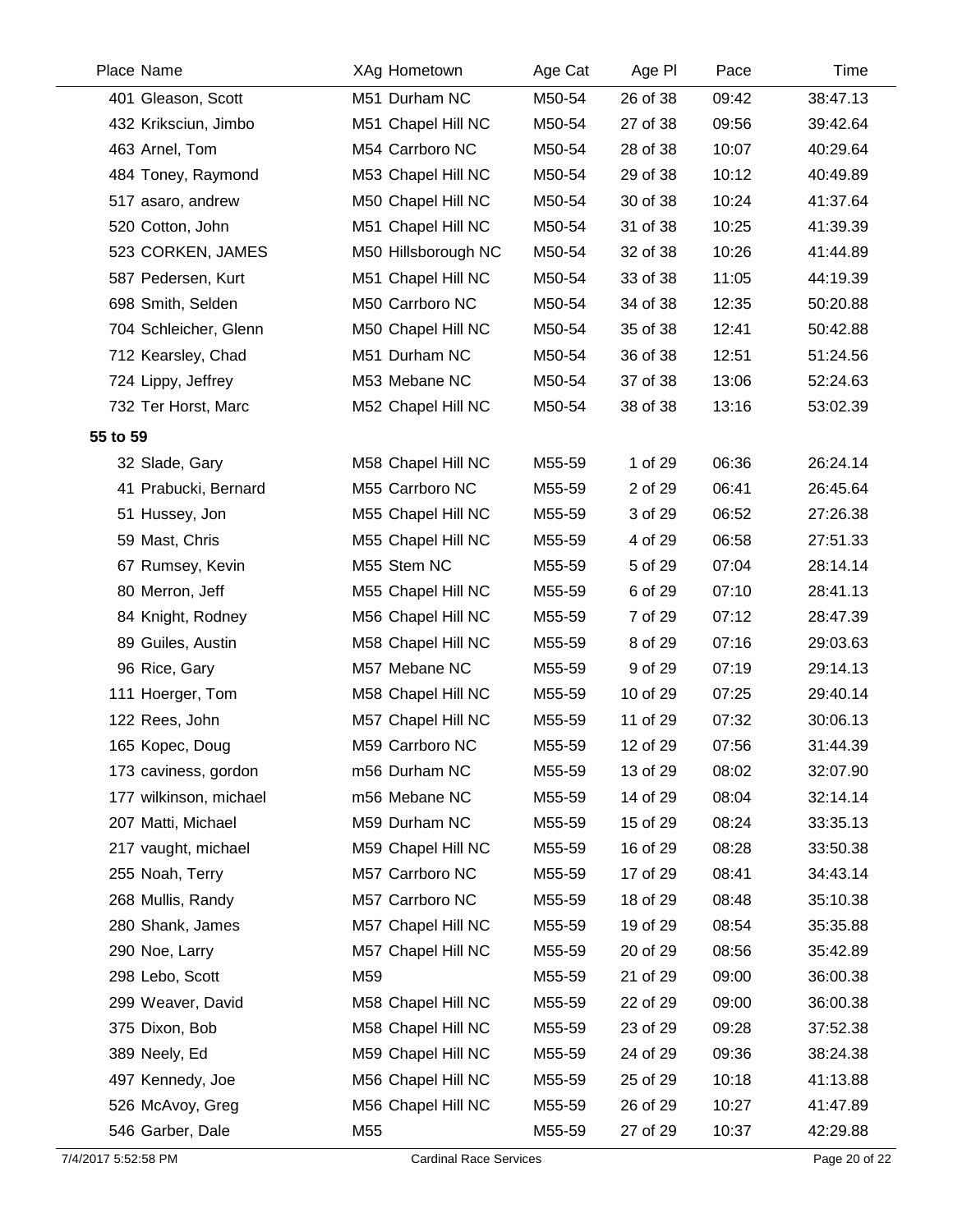|          | Place Name             | XAg Hometown        | Age Cat | Age PI   | Pace  | Time     |
|----------|------------------------|---------------------|---------|----------|-------|----------|
|          | 401 Gleason, Scott     | M51 Durham NC       | M50-54  | 26 of 38 | 09:42 | 38:47.13 |
|          | 432 Kriksciun, Jimbo   | M51 Chapel Hill NC  | M50-54  | 27 of 38 | 09:56 | 39:42.64 |
|          | 463 Arnel, Tom         | M54 Carrboro NC     | M50-54  | 28 of 38 | 10:07 | 40:29.64 |
|          | 484 Toney, Raymond     | M53 Chapel Hill NC  | M50-54  | 29 of 38 | 10:12 | 40:49.89 |
|          | 517 asaro, andrew      | M50 Chapel Hill NC  | M50-54  | 30 of 38 | 10:24 | 41:37.64 |
|          | 520 Cotton, John       | M51 Chapel Hill NC  | M50-54  | 31 of 38 | 10:25 | 41:39.39 |
|          | 523 CORKEN, JAMES      | M50 Hillsborough NC | M50-54  | 32 of 38 | 10:26 | 41:44.89 |
|          | 587 Pedersen, Kurt     | M51 Chapel Hill NC  | M50-54  | 33 of 38 | 11:05 | 44:19.39 |
|          | 698 Smith, Selden      | M50 Carrboro NC     | M50-54  | 34 of 38 | 12:35 | 50:20.88 |
|          | 704 Schleicher, Glenn  | M50 Chapel Hill NC  | M50-54  | 35 of 38 | 12:41 | 50:42.88 |
|          | 712 Kearsley, Chad     | M51 Durham NC       | M50-54  | 36 of 38 | 12:51 | 51:24.56 |
|          | 724 Lippy, Jeffrey     | M53 Mebane NC       | M50-54  | 37 of 38 | 13:06 | 52:24.63 |
|          | 732 Ter Horst, Marc    | M52 Chapel Hill NC  | M50-54  | 38 of 38 | 13:16 | 53:02.39 |
| 55 to 59 |                        |                     |         |          |       |          |
|          | 32 Slade, Gary         | M58 Chapel Hill NC  | M55-59  | 1 of 29  | 06:36 | 26:24.14 |
|          | 41 Prabucki, Bernard   | M55 Carrboro NC     | M55-59  | 2 of 29  | 06:41 | 26:45.64 |
|          | 51 Hussey, Jon         | M55 Chapel Hill NC  | M55-59  | 3 of 29  | 06:52 | 27:26.38 |
|          | 59 Mast, Chris         | M55 Chapel Hill NC  | M55-59  | 4 of 29  | 06:58 | 27:51.33 |
|          | 67 Rumsey, Kevin       | M55 Stem NC         | M55-59  | 5 of 29  | 07:04 | 28:14.14 |
|          | 80 Merron, Jeff        | M55 Chapel Hill NC  | M55-59  | 6 of 29  | 07:10 | 28:41.13 |
|          | 84 Knight, Rodney      | M56 Chapel Hill NC  | M55-59  | 7 of 29  | 07:12 | 28:47.39 |
|          | 89 Guiles, Austin      | M58 Chapel Hill NC  | M55-59  | 8 of 29  | 07:16 | 29:03.63 |
|          | 96 Rice, Gary          | M57 Mebane NC       | M55-59  | 9 of 29  | 07:19 | 29:14.13 |
|          | 111 Hoerger, Tom       | M58 Chapel Hill NC  | M55-59  | 10 of 29 | 07:25 | 29:40.14 |
|          | 122 Rees, John         | M57 Chapel Hill NC  | M55-59  | 11 of 29 | 07:32 | 30:06.13 |
|          | 165 Kopec, Doug        | M59 Carrboro NC     | M55-59  | 12 of 29 | 07:56 | 31:44.39 |
|          | 173 caviness, gordon   | m56 Durham NC       | M55-59  | 13 of 29 | 08:02 | 32:07.90 |
|          | 177 wilkinson, michael | m56 Mebane NC       | M55-59  | 14 of 29 | 08:04 | 32:14.14 |
|          | 207 Matti, Michael     | M59 Durham NC       | M55-59  | 15 of 29 | 08:24 | 33:35.13 |
|          | 217 vaught, michael    | M59 Chapel Hill NC  | M55-59  | 16 of 29 | 08:28 | 33:50.38 |
|          | 255 Noah, Terry        | M57 Carrboro NC     | M55-59  | 17 of 29 | 08:41 | 34:43.14 |
|          | 268 Mullis, Randy      | M57 Carrboro NC     | M55-59  | 18 of 29 | 08:48 | 35:10.38 |
|          | 280 Shank, James       | M57 Chapel Hill NC  | M55-59  | 19 of 29 | 08:54 | 35:35.88 |
|          | 290 Noe, Larry         | M57 Chapel Hill NC  | M55-59  | 20 of 29 | 08:56 | 35:42.89 |
|          | 298 Lebo, Scott        | M59                 | M55-59  | 21 of 29 | 09:00 | 36:00.38 |
|          | 299 Weaver, David      | M58 Chapel Hill NC  | M55-59  | 22 of 29 | 09:00 | 36:00.38 |
|          | 375 Dixon, Bob         | M58 Chapel Hill NC  | M55-59  | 23 of 29 | 09:28 | 37:52.38 |
|          | 389 Neely, Ed          | M59 Chapel Hill NC  | M55-59  | 24 of 29 | 09:36 | 38:24.38 |
|          | 497 Kennedy, Joe       | M56 Chapel Hill NC  | M55-59  | 25 of 29 | 10:18 | 41:13.88 |
|          | 526 McAvoy, Greg       | M56 Chapel Hill NC  | M55-59  | 26 of 29 | 10:27 | 41:47.89 |
|          | 546 Garber, Dale       | M55                 | M55-59  | 27 of 29 | 10:37 | 42:29.88 |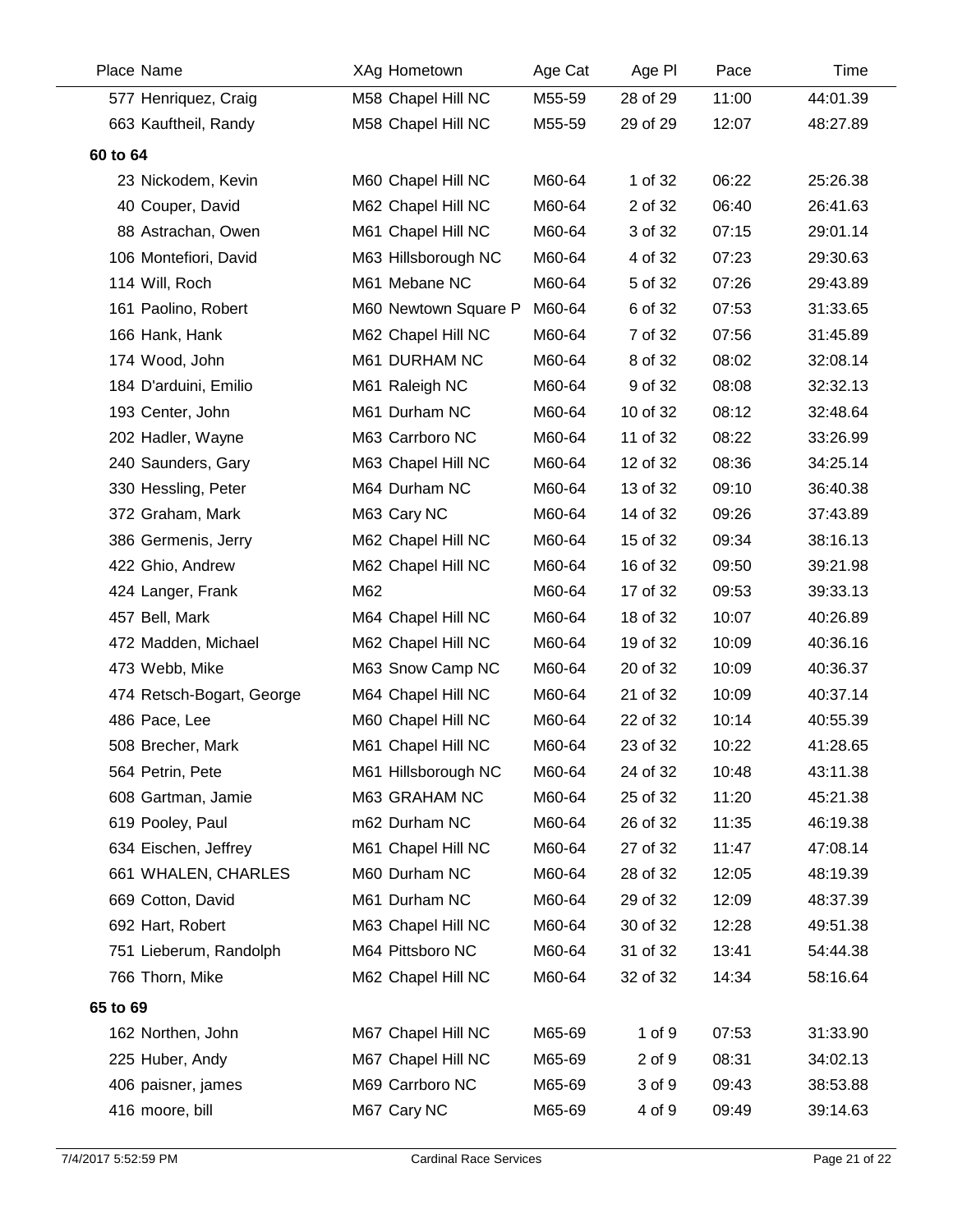|          | Place Name                | XAg Hometown         | Age Cat | Age PI   | Pace  | Time     |
|----------|---------------------------|----------------------|---------|----------|-------|----------|
|          | 577 Henriquez, Craig      | M58 Chapel Hill NC   | M55-59  | 28 of 29 | 11:00 | 44:01.39 |
|          | 663 Kauftheil, Randy      | M58 Chapel Hill NC   | M55-59  | 29 of 29 | 12:07 | 48:27.89 |
| 60 to 64 |                           |                      |         |          |       |          |
|          | 23 Nickodem, Kevin        | M60 Chapel Hill NC   | M60-64  | 1 of 32  | 06:22 | 25:26.38 |
|          | 40 Couper, David          | M62 Chapel Hill NC   | M60-64  | 2 of 32  | 06:40 | 26:41.63 |
|          | 88 Astrachan, Owen        | M61 Chapel Hill NC   | M60-64  | 3 of 32  | 07:15 | 29:01.14 |
|          | 106 Montefiori, David     | M63 Hillsborough NC  | M60-64  | 4 of 32  | 07:23 | 29:30.63 |
|          | 114 Will, Roch            | M61 Mebane NC        | M60-64  | 5 of 32  | 07:26 | 29:43.89 |
|          | 161 Paolino, Robert       | M60 Newtown Square P | M60-64  | 6 of 32  | 07:53 | 31:33.65 |
|          | 166 Hank, Hank            | M62 Chapel Hill NC   | M60-64  | 7 of 32  | 07:56 | 31:45.89 |
|          | 174 Wood, John            | M61 DURHAM NC        | M60-64  | 8 of 32  | 08:02 | 32:08.14 |
|          | 184 D'arduini, Emilio     | M61 Raleigh NC       | M60-64  | 9 of 32  | 08:08 | 32:32.13 |
|          | 193 Center, John          | M61 Durham NC        | M60-64  | 10 of 32 | 08:12 | 32:48.64 |
|          | 202 Hadler, Wayne         | M63 Carrboro NC      | M60-64  | 11 of 32 | 08:22 | 33:26.99 |
|          | 240 Saunders, Gary        | M63 Chapel Hill NC   | M60-64  | 12 of 32 | 08:36 | 34:25.14 |
|          | 330 Hessling, Peter       | M64 Durham NC        | M60-64  | 13 of 32 | 09:10 | 36:40.38 |
|          | 372 Graham, Mark          | M63 Cary NC          | M60-64  | 14 of 32 | 09:26 | 37:43.89 |
|          | 386 Germenis, Jerry       | M62 Chapel Hill NC   | M60-64  | 15 of 32 | 09:34 | 38:16.13 |
|          | 422 Ghio, Andrew          | M62 Chapel Hill NC   | M60-64  | 16 of 32 | 09:50 | 39:21.98 |
|          | 424 Langer, Frank         | M62                  | M60-64  | 17 of 32 | 09:53 | 39:33.13 |
|          | 457 Bell, Mark            | M64 Chapel Hill NC   | M60-64  | 18 of 32 | 10:07 | 40:26.89 |
|          | 472 Madden, Michael       | M62 Chapel Hill NC   | M60-64  | 19 of 32 | 10:09 | 40:36.16 |
|          | 473 Webb, Mike            | M63 Snow Camp NC     | M60-64  | 20 of 32 | 10:09 | 40:36.37 |
|          | 474 Retsch-Bogart, George | M64 Chapel Hill NC   | M60-64  | 21 of 32 | 10:09 | 40:37.14 |
|          | 486 Pace, Lee             | M60 Chapel Hill NC   | M60-64  | 22 of 32 | 10:14 | 40:55.39 |
|          | 508 Brecher, Mark         | M61 Chapel Hill NC   | M60-64  | 23 of 32 | 10:22 | 41:28.65 |
|          | 564 Petrin, Pete          | M61 Hillsborough NC  | M60-64  | 24 of 32 | 10:48 | 43:11.38 |
|          | 608 Gartman, Jamie        | M63 GRAHAM NC        | M60-64  | 25 of 32 | 11:20 | 45:21.38 |
|          | 619 Pooley, Paul          | m62 Durham NC        | M60-64  | 26 of 32 | 11:35 | 46:19.38 |
|          | 634 Eischen, Jeffrey      | M61 Chapel Hill NC   | M60-64  | 27 of 32 | 11:47 | 47:08.14 |
|          | 661 WHALEN, CHARLES       | M60 Durham NC        | M60-64  | 28 of 32 | 12:05 | 48:19.39 |
|          | 669 Cotton, David         | M61 Durham NC        | M60-64  | 29 of 32 | 12:09 | 48:37.39 |
|          | 692 Hart, Robert          | M63 Chapel Hill NC   | M60-64  | 30 of 32 | 12:28 | 49:51.38 |
|          | 751 Lieberum, Randolph    | M64 Pittsboro NC     | M60-64  | 31 of 32 | 13:41 | 54:44.38 |
|          | 766 Thorn, Mike           | M62 Chapel Hill NC   | M60-64  | 32 of 32 | 14:34 | 58:16.64 |
| 65 to 69 |                           |                      |         |          |       |          |
|          | 162 Northen, John         | M67 Chapel Hill NC   | M65-69  | 1 of 9   | 07:53 | 31:33.90 |
|          | 225 Huber, Andy           | M67 Chapel Hill NC   | M65-69  | 2 of 9   | 08:31 | 34:02.13 |
|          | 406 paisner, james        | M69 Carrboro NC      | M65-69  | 3 of 9   | 09:43 | 38:53.88 |
|          | 416 moore, bill           | M67 Cary NC          | M65-69  | 4 of 9   | 09:49 | 39:14.63 |
|          |                           |                      |         |          |       |          |